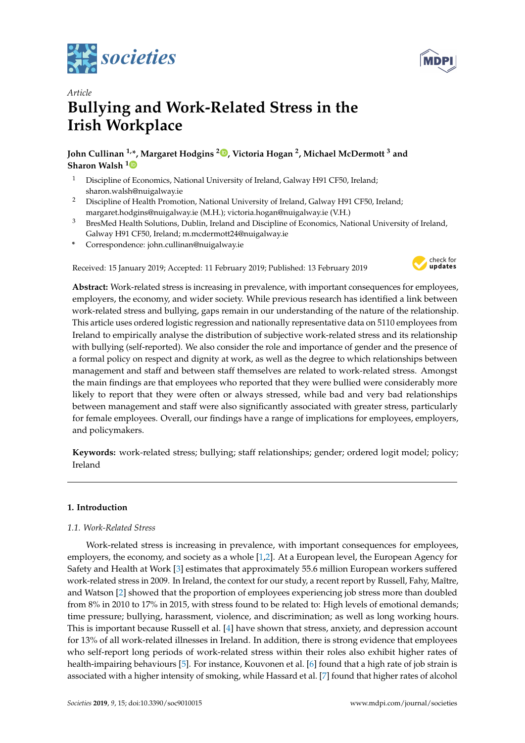



# *Article* **Bullying and Work-Related Stress in the Irish Workplace**

# **John Cullinan 1,\*, Margaret Hodgins <sup>2</sup> [,](https://orcid.org/0000-0002-6013-5789) Victoria Hogan <sup>2</sup> , Michael McDermott <sup>3</sup> and Sharon Walsh [1](https://orcid.org/0000-0001-9593-4241)**

- <sup>1</sup> Discipline of Economics, National University of Ireland, Galway H91 CF50, Ireland; sharon.walsh@nuigalway.ie
- <sup>2</sup> Discipline of Health Promotion, National University of Ireland, Galway H91 CF50, Ireland; margaret.hodgins@nuigalway.ie (M.H.); victoria.hogan@nuigalway.ie (V.H.)
- <sup>3</sup> BresMed Health Solutions, Dublin, Ireland and Discipline of Economics, National University of Ireland, Galway H91 CF50, Ireland; m.mcdermott24@nuigalway.ie
- **\*** Correspondence: john.cullinan@nuigalway.ie

Received: 15 January 2019; Accepted: 11 February 2019; Published: 13 February 2019



**Abstract:** Work-related stress is increasing in prevalence, with important consequences for employees, employers, the economy, and wider society. While previous research has identified a link between work-related stress and bullying, gaps remain in our understanding of the nature of the relationship. This article uses ordered logistic regression and nationally representative data on 5110 employees from Ireland to empirically analyse the distribution of subjective work-related stress and its relationship with bullying (self-reported). We also consider the role and importance of gender and the presence of a formal policy on respect and dignity at work, as well as the degree to which relationships between management and staff and between staff themselves are related to work-related stress. Amongst the main findings are that employees who reported that they were bullied were considerably more likely to report that they were often or always stressed, while bad and very bad relationships between management and staff were also significantly associated with greater stress, particularly for female employees. Overall, our findings have a range of implications for employees, employers, and policymakers.

**Keywords:** work-related stress; bullying; staff relationships; gender; ordered logit model; policy; Ireland

## **1. Introduction**

## *1.1. Work-Related Stress*

Work-related stress is increasing in prevalence, with important consequences for employees, employers, the economy, and society as a whole [\[1](#page-18-0)[,2\]](#page-18-1). At a European level, the European Agency for Safety and Health at Work [\[3\]](#page-18-2) estimates that approximately 55.6 million European workers suffered work-related stress in 2009. In Ireland, the context for our study, a recent report by Russell, Fahy, Maître, and Watson [\[2\]](#page-18-1) showed that the proportion of employees experiencing job stress more than doubled from 8% in 2010 to 17% in 2015, with stress found to be related to: High levels of emotional demands; time pressure; bullying, harassment, violence, and discrimination; as well as long working hours. This is important because Russell et al. [\[4\]](#page-18-3) have shown that stress, anxiety, and depression account for 13% of all work-related illnesses in Ireland. In addition, there is strong evidence that employees who self-report long periods of work-related stress within their roles also exhibit higher rates of health-impairing behaviours [\[5\]](#page-18-4). For instance, Kouvonen et al. [\[6\]](#page-18-5) found that a high rate of job strain is associated with a higher intensity of smoking, while Hassard et al. [\[7\]](#page-18-6) found that higher rates of alcohol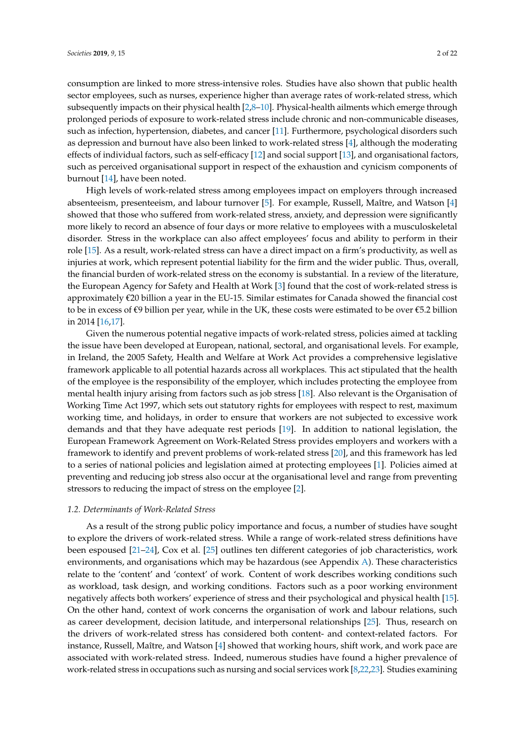consumption are linked to more stress-intensive roles. Studies have also shown that public health sector employees, such as nurses, experience higher than average rates of work-related stress, which subsequently impacts on their physical health [\[2](#page-18-1)[,8](#page-18-7)[–10\]](#page-18-8). Physical-health ailments which emerge through prolonged periods of exposure to work-related stress include chronic and non-communicable diseases, such as infection, hypertension, diabetes, and cancer [\[11\]](#page-18-9). Furthermore, psychological disorders such as depression and burnout have also been linked to work-related stress [\[4\]](#page-18-3), although the moderating effects of individual factors, such as self-efficacy [\[12\]](#page-18-10) and social support [\[13\]](#page-18-11), and organisational factors, such as perceived organisational support in respect of the exhaustion and cynicism components of burnout [\[14\]](#page-18-12), have been noted.

High levels of work-related stress among employees impact on employers through increased absenteeism, presenteeism, and labour turnover [\[5\]](#page-18-4). For example, Russell, Maître, and Watson [\[4\]](#page-18-3) showed that those who suffered from work-related stress, anxiety, and depression were significantly more likely to record an absence of four days or more relative to employees with a musculoskeletal disorder. Stress in the workplace can also affect employees' focus and ability to perform in their role [\[15\]](#page-18-13). As a result, work-related stress can have a direct impact on a firm's productivity, as well as injuries at work, which represent potential liability for the firm and the wider public. Thus, overall, the financial burden of work-related stress on the economy is substantial. In a review of the literature, the European Agency for Safety and Health at Work [\[3\]](#page-18-2) found that the cost of work-related stress is approximately  $\epsilon$ 20 billion a year in the EU-15. Similar estimates for Canada showed the financial cost to be in excess of  $\mathcal{E}9$  billion per year, while in the UK, these costs were estimated to be over  $\mathcal{E}5.2$  billion in 2014 [\[16](#page-18-14)[,17\]](#page-18-15).

Given the numerous potential negative impacts of work-related stress, policies aimed at tackling the issue have been developed at European, national, sectoral, and organisational levels. For example, in Ireland, the 2005 Safety, Health and Welfare at Work Act provides a comprehensive legislative framework applicable to all potential hazards across all workplaces. This act stipulated that the health of the employee is the responsibility of the employer, which includes protecting the employee from mental health injury arising from factors such as job stress [\[18\]](#page-18-16). Also relevant is the Organisation of Working Time Act 1997, which sets out statutory rights for employees with respect to rest, maximum working time, and holidays, in order to ensure that workers are not subjected to excessive work demands and that they have adequate rest periods [\[19\]](#page-18-17). In addition to national legislation, the European Framework Agreement on Work-Related Stress provides employers and workers with a framework to identify and prevent problems of work-related stress [\[20\]](#page-18-18), and this framework has led to a series of national policies and legislation aimed at protecting employees [\[1\]](#page-18-0). Policies aimed at preventing and reducing job stress also occur at the organisational level and range from preventing stressors to reducing the impact of stress on the employee [\[2\]](#page-18-1).

#### *1.2. Determinants of Work-Related Stress*

As a result of the strong public policy importance and focus, a number of studies have sought to explore the drivers of work-related stress. While a range of work-related stress definitions have been espoused [\[21–](#page-18-19)[24\]](#page-18-20), Cox et al. [\[25\]](#page-18-21) outlines ten different categories of job characteristics, work environments, and organisations which may be hazardous (see Appendix [A\)](#page-15-0). These characteristics relate to the 'content' and 'context' of work. Content of work describes working conditions such as workload, task design, and working conditions. Factors such as a poor working environment negatively affects both workers' experience of stress and their psychological and physical health [\[15\]](#page-18-13). On the other hand, context of work concerns the organisation of work and labour relations, such as career development, decision latitude, and interpersonal relationships [\[25\]](#page-18-21). Thus, research on the drivers of work-related stress has considered both content- and context-related factors. For instance, Russell, Maître, and Watson [\[4\]](#page-18-3) showed that working hours, shift work, and work pace are associated with work-related stress. Indeed, numerous studies have found a higher prevalence of work-related stress in occupations such as nursing and social services work [\[8](#page-18-7)[,22](#page-18-22)[,23\]](#page-18-23). Studies examining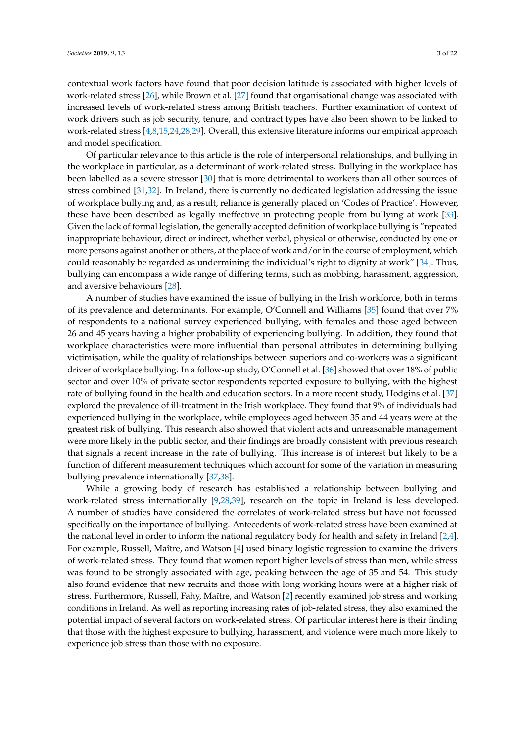contextual work factors have found that poor decision latitude is associated with higher levels of work-related stress [\[26\]](#page-19-0), while Brown et al. [\[27\]](#page-19-1) found that organisational change was associated with increased levels of work-related stress among British teachers. Further examination of context of work drivers such as job security, tenure, and contract types have also been shown to be linked to work-related stress [\[4](#page-18-3)[,8](#page-18-7)[,15](#page-18-13)[,24](#page-18-20)[,28,](#page-19-2)[29\]](#page-19-3). Overall, this extensive literature informs our empirical approach and model specification.

Of particular relevance to this article is the role of interpersonal relationships, and bullying in the workplace in particular, as a determinant of work-related stress. Bullying in the workplace has been labelled as a severe stressor [\[30\]](#page-19-4) that is more detrimental to workers than all other sources of stress combined [\[31,](#page-19-5)[32\]](#page-19-6). In Ireland, there is currently no dedicated legislation addressing the issue of workplace bullying and, as a result, reliance is generally placed on 'Codes of Practice'. However, these have been described as legally ineffective in protecting people from bullying at work [\[33\]](#page-19-7). Given the lack of formal legislation, the generally accepted definition of workplace bullying is "repeated inappropriate behaviour, direct or indirect, whether verbal, physical or otherwise, conducted by one or more persons against another or others, at the place of work and/or in the course of employment, which could reasonably be regarded as undermining the individual's right to dignity at work" [\[34\]](#page-19-8). Thus, bullying can encompass a wide range of differing terms, such as mobbing, harassment, aggression, and aversive behaviours [\[28\]](#page-19-2).

A number of studies have examined the issue of bullying in the Irish workforce, both in terms of its prevalence and determinants. For example, O'Connell and Williams [\[35\]](#page-19-9) found that over 7% of respondents to a national survey experienced bullying, with females and those aged between 26 and 45 years having a higher probability of experiencing bullying. In addition, they found that workplace characteristics were more influential than personal attributes in determining bullying victimisation, while the quality of relationships between superiors and co-workers was a significant driver of workplace bullying. In a follow-up study, O'Connell et al. [\[36\]](#page-19-10) showed that over 18% of public sector and over 10% of private sector respondents reported exposure to bullying, with the highest rate of bullying found in the health and education sectors. In a more recent study, Hodgins et al. [\[37\]](#page-19-11) explored the prevalence of ill-treatment in the Irish workplace. They found that 9% of individuals had experienced bullying in the workplace, while employees aged between 35 and 44 years were at the greatest risk of bullying. This research also showed that violent acts and unreasonable management were more likely in the public sector, and their findings are broadly consistent with previous research that signals a recent increase in the rate of bullying. This increase is of interest but likely to be a function of different measurement techniques which account for some of the variation in measuring bullying prevalence internationally [\[37](#page-19-11)[,38\]](#page-19-12).

While a growing body of research has established a relationship between bullying and work-related stress internationally [\[9](#page-18-24)[,28](#page-19-2)[,39\]](#page-19-13), research on the topic in Ireland is less developed. A number of studies have considered the correlates of work-related stress but have not focussed specifically on the importance of bullying. Antecedents of work-related stress have been examined at the national level in order to inform the national regulatory body for health and safety in Ireland [\[2](#page-18-1)[,4\]](#page-18-3). For example, Russell, Maître, and Watson [\[4\]](#page-18-3) used binary logistic regression to examine the drivers of work-related stress. They found that women report higher levels of stress than men, while stress was found to be strongly associated with age, peaking between the age of 35 and 54. This study also found evidence that new recruits and those with long working hours were at a higher risk of stress. Furthermore, Russell, Fahy, Maître, and Watson [\[2\]](#page-18-1) recently examined job stress and working conditions in Ireland. As well as reporting increasing rates of job-related stress, they also examined the potential impact of several factors on work-related stress. Of particular interest here is their finding that those with the highest exposure to bullying, harassment, and violence were much more likely to experience job stress than those with no exposure.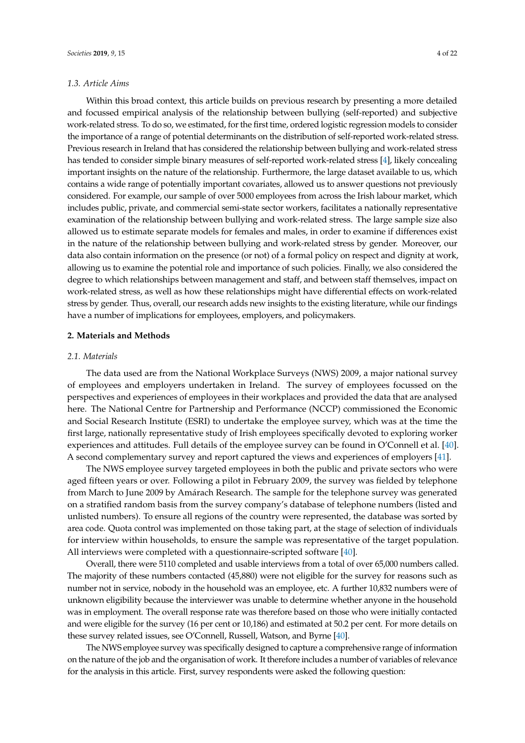## *1.3. Article Aims*

Within this broad context, this article builds on previous research by presenting a more detailed and focussed empirical analysis of the relationship between bullying (self-reported) and subjective work-related stress. To do so, we estimated, for the first time, ordered logistic regression models to consider the importance of a range of potential determinants on the distribution of self-reported work-related stress. Previous research in Ireland that has considered the relationship between bullying and work-related stress has tended to consider simple binary measures of self-reported work-related stress [\[4\]](#page-18-3), likely concealing important insights on the nature of the relationship. Furthermore, the large dataset available to us, which contains a wide range of potentially important covariates, allowed us to answer questions not previously considered. For example, our sample of over 5000 employees from across the Irish labour market, which includes public, private, and commercial semi-state sector workers, facilitates a nationally representative examination of the relationship between bullying and work-related stress. The large sample size also allowed us to estimate separate models for females and males, in order to examine if differences exist in the nature of the relationship between bullying and work-related stress by gender. Moreover, our data also contain information on the presence (or not) of a formal policy on respect and dignity at work, allowing us to examine the potential role and importance of such policies. Finally, we also considered the degree to which relationships between management and staff, and between staff themselves, impact on work-related stress, as well as how these relationships might have differential effects on work-related stress by gender. Thus, overall, our research adds new insights to the existing literature, while our findings

#### **2. Materials and Methods**

#### *2.1. Materials*

The data used are from the National Workplace Surveys (NWS) 2009, a major national survey of employees and employers undertaken in Ireland. The survey of employees focussed on the perspectives and experiences of employees in their workplaces and provided the data that are analysed here. The National Centre for Partnership and Performance (NCCP) commissioned the Economic and Social Research Institute (ESRI) to undertake the employee survey, which was at the time the first large, nationally representative study of Irish employees specifically devoted to exploring worker experiences and attitudes. Full details of the employee survey can be found in O'Connell et al. [\[40\]](#page-19-14). A second complementary survey and report captured the views and experiences of employers [\[41\]](#page-19-15).

have a number of implications for employees, employers, and policymakers.

The NWS employee survey targeted employees in both the public and private sectors who were aged fifteen years or over. Following a pilot in February 2009, the survey was fielded by telephone from March to June 2009 by Amárach Research. The sample for the telephone survey was generated on a stratified random basis from the survey company's database of telephone numbers (listed and unlisted numbers). To ensure all regions of the country were represented, the database was sorted by area code. Quota control was implemented on those taking part, at the stage of selection of individuals for interview within households, to ensure the sample was representative of the target population. All interviews were completed with a questionnaire-scripted software [\[40\]](#page-19-14).

Overall, there were 5110 completed and usable interviews from a total of over 65,000 numbers called. The majority of these numbers contacted (45,880) were not eligible for the survey for reasons such as number not in service, nobody in the household was an employee, etc. A further 10,832 numbers were of unknown eligibility because the interviewer was unable to determine whether anyone in the household was in employment. The overall response rate was therefore based on those who were initially contacted and were eligible for the survey (16 per cent or 10,186) and estimated at 50.2 per cent. For more details on these survey related issues, see O'Connell, Russell, Watson, and Byrne [\[40\]](#page-19-14).

The NWS employee survey was specifically designed to capture a comprehensive range of information on the nature of the job and the organisation of work. It therefore includes a number of variables of relevance for the analysis in this article. First, survey respondents were asked the following question: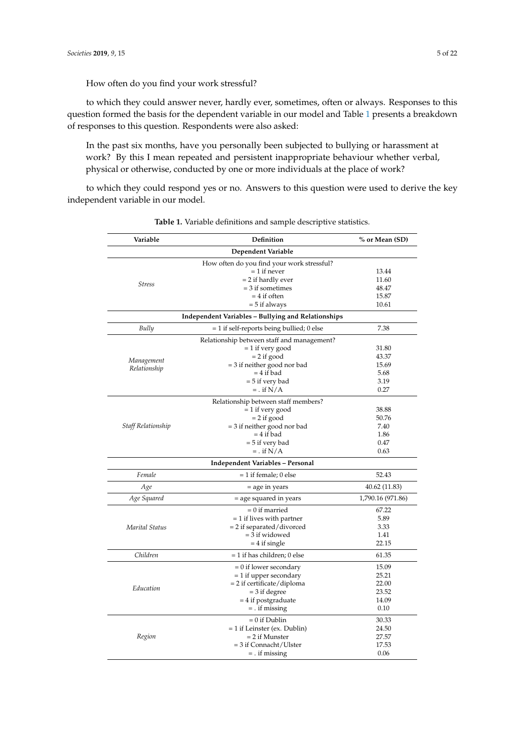How often do you find your work stressful?

to which they could answer never, hardly ever, sometimes, often or always. Responses to this question formed the basis for the dependent variable in our model and Table [1](#page-5-0) presents a breakdown of responses to this question. Respondents were also asked:

In the past six months, have you personally been subjected to bullying or harassment at work? By this I mean repeated and persistent inappropriate behaviour whether verbal, physical or otherwise, conducted by one or more individuals at the place of work?

to which they could respond yes or no. Answers to this question were used to derive the key independent variable in our model.

| Variable                   | Definition                                                | % or Mean (SD)    |
|----------------------------|-----------------------------------------------------------|-------------------|
|                            | Dependent Variable                                        |                   |
|                            | How often do you find your work stressful?                |                   |
|                            | $= 1$ if never                                            | 13.44             |
|                            | $= 2$ if hardly ever                                      | 11.60             |
| <b>Stress</b>              | $=$ 3 if sometimes                                        | 48.47             |
|                            | $= 4$ if often                                            | 15.87             |
|                            | $=$ 5 if always                                           | 10.61             |
|                            | <b>Independent Variables – Bullying and Relationships</b> |                   |
| Bully                      | = 1 if self-reports being bullied; 0 else                 | 7.38              |
|                            | Relationship between staff and management?                |                   |
|                            | $= 1$ if very good                                        | 31.80             |
|                            | $= 2$ if good                                             | 43.37             |
| Management<br>Relationship | = 3 if neither good nor bad                               | 15.69             |
|                            | $= 4$ if bad                                              | 5.68              |
|                            | $= 5$ if very bad                                         | 3.19              |
|                            | $=$ . if $N/A$                                            | 0.27              |
|                            | Relationship between staff members?                       |                   |
|                            | $= 1$ if very good                                        | 38.88             |
|                            | $= 2$ if good                                             | 50.76             |
| <b>Staff Relationship</b>  | $=$ 3 if neither good nor bad                             | 7.40              |
|                            | $= 4$ if bad                                              | 1.86              |
|                            | $= 5$ if very bad                                         | 0.47              |
|                            | $=$ . if $N/A$                                            | 0.63              |
|                            | <b>Independent Variables - Personal</b>                   |                   |
| Female                     | $= 1$ if female; 0 else                                   | 52.43             |
| Age                        | = age in years                                            | 40.62 (11.83)     |
| Age Squared                | = age squared in years                                    | 1,790.16 (971.86) |
|                            | $= 0$ if married                                          | 67.22             |
|                            | $=$ 1 if lives with partner                               | 5.89              |
| Marital Status             | $= 2$ if separated/divorced                               | 3.33              |
|                            | $=$ 3 if widowed                                          | 1.41              |
|                            | $= 4$ if single                                           | 22.15             |
| Children                   | $= 1$ if has children; 0 else                             | 61.35             |
|                            | $= 0$ if lower secondary                                  | 15.09             |
|                            | $=$ 1 if upper secondary                                  | 25.21             |
|                            | $= 2$ if certificate/diploma                              | 22.00             |
| Education                  | $=$ 3 if degree                                           | 23.52             |
|                            | $=$ 4 if postgraduate                                     | 14.09             |
|                            | $=$ if missing                                            | 0.10              |
|                            | $= 0$ if Dublin                                           | 30.33             |
|                            | $= 1$ if Leinster (ex. Dublin)                            | 24.50             |
| Region                     | = 2 if Munster                                            | 27.57             |
|                            | $=$ 3 if Connacht/Ulster                                  | 17.53             |
|                            | $=$ . if missing                                          | 0.06              |

**Table 1.** Variable definitions and sample descriptive statistics.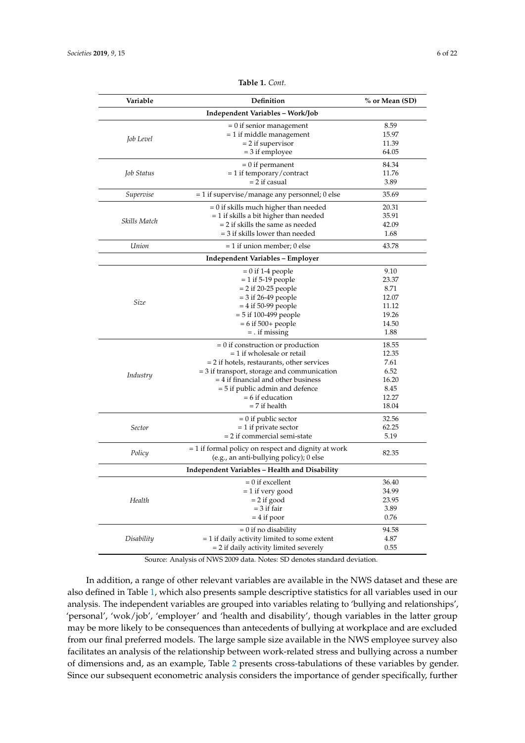<span id="page-5-0"></span>

| Variable     | Definition                                            | % or Mean (SD) |
|--------------|-------------------------------------------------------|----------------|
|              | Independent Variables - Work/Job                      |                |
|              | $= 0$ if senior management                            | 8.59           |
| Job Level    | $=$ 1 if middle management                            | 15.97          |
|              | = 2 if supervisor                                     | 11.39          |
|              | = 3 if employee                                       | 64.05          |
|              | $= 0$ if permanent                                    | 84.34          |
| Job Status   | $= 1$ if temporary/contract                           | 11.76          |
|              | $= 2$ if casual                                       | 3.89           |
| Supervise    | $= 1$ if supervise/manage any personnel; 0 else       | 35.69          |
|              | = 0 if skills much higher than needed                 | 20.31          |
|              | $=$ 1 if skills a bit higher than needed              | 35.91          |
| Skills Match | = 2 if skills the same as needed                      | 42.09          |
|              | = 3 if skills lower than needed                       | 1.68           |
| Union        | $= 1$ if union member; 0 else                         | 43.78          |
|              | Independent Variables - Employer                      |                |
|              | $= 0$ if 1-4 people                                   | 9.10           |
|              | $= 1$ if 5-19 people                                  | 23.37          |
|              | $= 2$ if 20-25 people                                 | 8.71           |
|              | $=$ 3 if 26-49 people                                 | 12.07          |
| Size         | $= 4$ if 50-99 people                                 | 11.12          |
|              | $= 5$ if 100-499 people                               | 19.26          |
|              | $= 6$ if $500+$ people                                | 14.50          |
|              | $=$ . if missing                                      | 1.88           |
|              | $= 0$ if construction or production                   | 18.55          |
|              | = 1 if wholesale or retail                            | 12.35          |
|              | $=$ 2 if hotels, restaurants, other services          | 7.61           |
| Industry     | $=$ 3 if transport, storage and communication         | 6.52           |
|              | = 4 if financial and other business                   | 16.20          |
|              | = 5 if public admin and defence                       | 8.45           |
|              | $= 6$ if education                                    | 12.27          |
|              | $= 7$ if health                                       | 18.04          |
|              | $= 0$ if public sector                                | 32.56          |
| Sector       | $=$ 1 if private sector                               | 62.25          |
|              | $= 2$ if commercial semi-state                        | 5.19           |
| Policy       | $=$ 1 if formal policy on respect and dignity at work | 82.35          |
|              | (e.g., an anti-bullying policy); 0 else               |                |
|              | Independent Variables – Health and Disability         |                |
|              | $= 0$ if excellent                                    | 36.40          |
|              | $= 1$ if very good                                    | 34.99          |
| Health       | $= 2$ if good                                         | 23.95          |
|              | $=$ 3 if fair                                         | 3.89           |
|              | $= 4$ if poor                                         | 0.76           |
|              | $= 0$ if no disability                                | 94.58          |
| Disability   | $=$ 1 if daily activity limited to some extent        | 4.87           |
|              | = 2 if daily activity limited severely                | 0.55           |

**Table 1.** *Cont.*

Source: Analysis of NWS 2009 data. Notes: SD denotes standard deviation.

In addition, a range of other relevant variables are available in the NWS dataset and these are also defined in Table [1,](#page-5-0) which also presents sample descriptive statistics for all variables used in our analysis. The independent variables are grouped into variables relating to 'bullying and relationships', 'personal', 'wok/job', 'employer' and 'health and disability', though variables in the latter group may be more likely to be consequences than antecedents of bullying at workplace and are excluded from our final preferred models. The large sample size available in the NWS employee survey also facilitates an analysis of the relationship between work-related stress and bullying across a number of dimensions and, as an example, Table [2](#page-7-0) presents cross-tabulations of these variables by gender. Since our subsequent econometric analysis considers the importance of gender specifically, further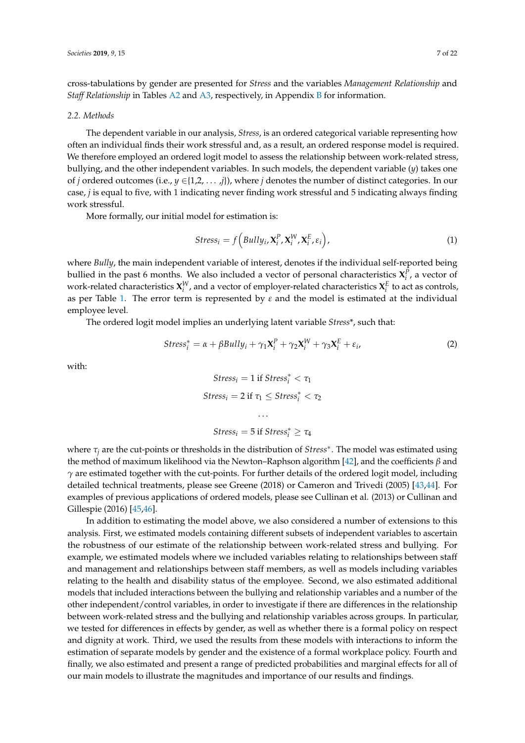cross-tabulations by gender are presented for *Stress* and the variables *Management Relationship* and *Staff Relationship* in Tables [A2](#page-16-0) and [A3,](#page-16-1) respectively, in Appendix [B](#page-16-2) for information.

#### *2.2. Methods*

The dependent variable in our analysis, *Stress*, is an ordered categorical variable representing how often an individual finds their work stressful and, as a result, an ordered response model is required. We therefore employed an ordered logit model to assess the relationship between work-related stress, bullying, and the other independent variables. In such models, the dependent variable (*y*) takes one of *j* ordered outcomes (i.e., *y* ∈{1,2, . . . ,*j*}), where *j* denotes the number of distinct categories. In our case, *j* is equal to five, with 1 indicating never finding work stressful and 5 indicating always finding work stressful.

More formally, our initial model for estimation is:

$$
Stress_i = f\left(Bully_i, \mathbf{X}_i^P, \mathbf{X}_i^W, \mathbf{X}_i^E, \varepsilon_i\right),\tag{1}
$$

where *Bully*, the main independent variable of interest, denotes if the individual self-reported being bullied in the past 6 months. We also included a vector of personal characteristics  $X_i^p$ , a vector of work-related characteristics  $X_i^W$ , and a vector of employer-related characteristics  $X_i^E$  to act as controls, as per Table [1.](#page-5-0) The error term is represented by  $\varepsilon$  and the model is estimated at the individual employee level.

The ordered logit model implies an underlying latent variable *Stress*\*, such that:

$$
Stress_i^* = \alpha + \beta Bully_i + \gamma_1 \mathbf{X}_i^P + \gamma_2 \mathbf{X}_i^W + \gamma_3 \mathbf{X}_i^E + \varepsilon_i,
$$
\n(2)

with:

$$
Stress_i = 1 \text{ if } Stress_i^* < \tau_1
$$
\n
$$
Stress_i = 2 \text{ if } \tau_1 \leq Stress_i^* < \tau_2
$$
\n
$$
\dots
$$
\n
$$
Stress_i = 5 \text{ if } Stress_i^* \geq \tau_4
$$

where *τ<sup>j</sup>* are the cut-points or thresholds in the distribution of *Stress*<sup>∗</sup> . The model was estimated using the method of maximum likelihood via the Newton–Raphson algorithm [\[42\]](#page-19-16), and the coefficients *β* and *γ* are estimated together with the cut-points. For further details of the ordered logit model, including detailed technical treatments, please see Greene (2018) or Cameron and Trivedi (2005) [\[43](#page-19-17)[,44\]](#page-19-18). For examples of previous applications of ordered models, please see Cullinan et al. (2013) or Cullinan and Gillespie (2016) [\[45](#page-19-19)[,46\]](#page-19-20).

In addition to estimating the model above, we also considered a number of extensions to this analysis. First, we estimated models containing different subsets of independent variables to ascertain the robustness of our estimate of the relationship between work-related stress and bullying. For example, we estimated models where we included variables relating to relationships between staff and management and relationships between staff members, as well as models including variables relating to the health and disability status of the employee. Second, we also estimated additional models that included interactions between the bullying and relationship variables and a number of the other independent/control variables, in order to investigate if there are differences in the relationship between work-related stress and the bullying and relationship variables across groups. In particular, we tested for differences in effects by gender, as well as whether there is a formal policy on respect and dignity at work. Third, we used the results from these models with interactions to inform the estimation of separate models by gender and the existence of a formal workplace policy. Fourth and finally, we also estimated and present a range of predicted probabilities and marginal effects for all of our main models to illustrate the magnitudes and importance of our results and findings.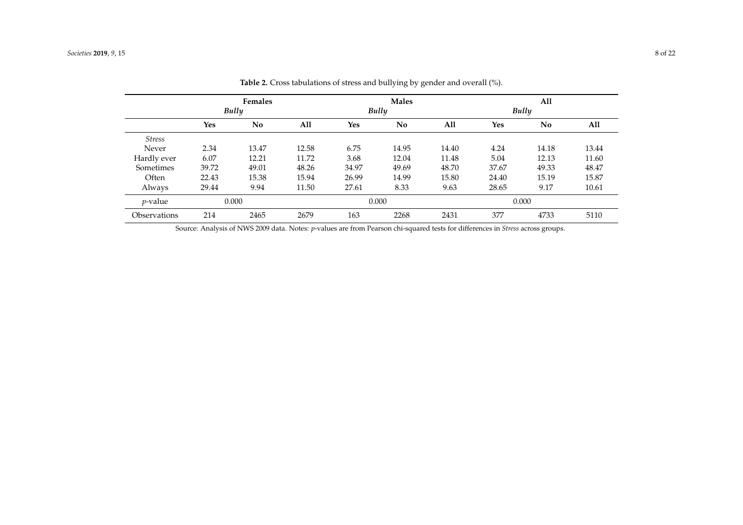|               |            | <b>Females</b><br>Bully |       |       | <b>Males</b><br>Bully |       |       | All<br>Bully |       |
|---------------|------------|-------------------------|-------|-------|-----------------------|-------|-------|--------------|-------|
|               | <b>Yes</b> | No                      | All   | Yes   | N <sub>o</sub>        | All   | Yes   | No           | All   |
| <b>Stress</b> |            |                         |       |       |                       |       |       |              |       |
| Never         | 2.34       | 13.47                   | 12.58 | 6.75  | 14.95                 | 14.40 | 4.24  | 14.18        | 13.44 |
| Hardly ever   | 6.07       | 12.21                   | 11.72 | 3.68  | 12.04                 | 11.48 | 5.04  | 12.13        | 11.60 |
| Sometimes     | 39.72      | 49.01                   | 48.26 | 34.97 | 49.69                 | 48.70 | 37.67 | 49.33        | 48.47 |
| Often         | 22.43      | 15.38                   | 15.94 | 26.99 | 14.99                 | 15.80 | 24.40 | 15.19        | 15.87 |
| Always        | 29.44      | 9.94                    | 11.50 | 27.61 | 8.33                  | 9.63  | 28.65 | 9.17         | 10.61 |
| $p$ -value    |            | 0.000                   |       |       | 0.000                 |       |       | 0.000        |       |
| Observations  | 214        | 2465                    | 2679  | 163   | 2268                  | 2431  | 377   | 4733         | 5110  |

**Table 2.** Cross tabulations of stress and bullying by gender and overall (%).

<span id="page-7-0"></span>Source: Analysis of NWS 2009 data. Notes: *p*-values are from Pearson chi-squared tests for differences in *Stress* across groups.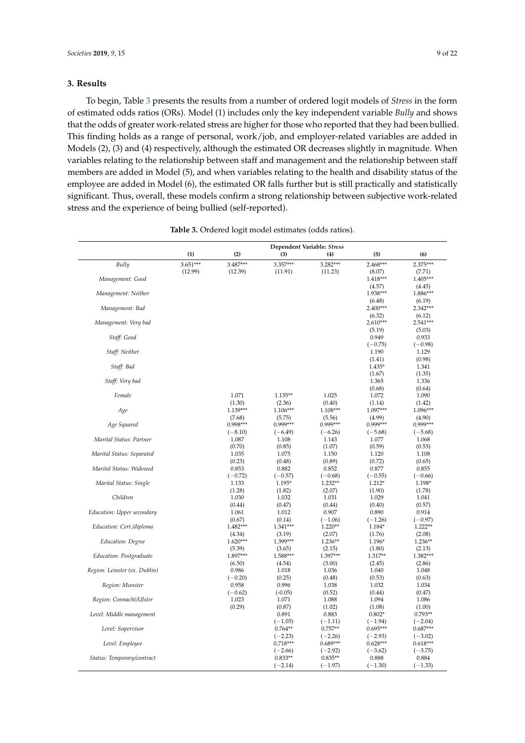## **3. Results**

To begin, Table [3](#page-9-0) presents the results from a number of ordered logit models of *Stress* in the form of estimated odds ratios (ORs). Model (1) includes only the key independent variable *Bully* and shows that the odds of greater work-related stress are higher for those who reported that they had been bullied. This finding holds as a range of personal, work/job, and employer-related variables are added in Models (2), (3) and (4) respectively, although the estimated OR decreases slightly in magnitude. When variables relating to the relationship between staff and management and the relationship between staff members are added in Model (5), and when variables relating to the health and disability status of the employee are added in Model (6), the estimated OR falls further but is still practically and statistically significant. Thus, overall, these models confirm a strong relationship between subjective work-related stress and the experience of being bullied (self-reported).

|                               |            |            |            | Dependent Variable: Stress |            |            |
|-------------------------------|------------|------------|------------|----------------------------|------------|------------|
|                               | (1)        | (2)        | (3)        | (4)                        | (5)        | (6)        |
| Bully                         | $3.651***$ | 3.487***   | 3.357***   | 3.282***                   | 2.468***   | 2.375***   |
|                               | (12.99)    | (12.39)    | (11.91)    | (11.23)                    | (8.07)     | (7.71)     |
| Management: Good              |            |            |            |                            | $1.418***$ | $1.405***$ |
|                               |            |            |            |                            | (4.57)     | (4.45)     |
| Management: Neither           |            |            |            |                            | 1.938***   | 1.886***   |
|                               |            |            |            |                            | (6.48)     | (6.19)     |
| Management: Bad               |            |            |            |                            | 2.400***   | 2.342***   |
|                               |            |            |            |                            | (6.32)     | (6.12)     |
| Management: Very bad          |            |            |            |                            | $2.610***$ | $2.541***$ |
|                               |            |            |            |                            | (5.19)     | (5.03)     |
| Staff: Good                   |            |            |            |                            | 0.949      | 0.933      |
|                               |            |            |            |                            | $(-0.75)$  | $(-0.98)$  |
| Staff: Neither                |            |            |            |                            | 1.190      | 1.129      |
|                               |            |            |            |                            | (1.41)     | (0.98)     |
| Staff: Bad                    |            |            |            |                            | 1.435*     | 1.341      |
|                               |            |            |            |                            | (1.67)     | (1.35)     |
| Staff: Very bad               |            |            |            |                            | 1.365      | 1.336      |
|                               |            |            |            |                            | (0.68)     | (0.64)     |
| Female                        |            | 1.071      | $1.135**$  | 1.025                      | 1.072      | 1.090      |
|                               |            | (1.30)     | (2.36)     | (0.40)                     | (1.14)     | (1.42)     |
| Age                           |            | 1.139***   | $1.106***$ | 1.108***                   | 1.097***   | 1.096***   |
|                               |            | (7.68)     | (5.75)     | (5.56)                     | (4.99)     | (4.90)     |
| Age Squared                   |            | $0.998***$ | 0.999***   | 0.999***                   | 0.999***   | 0.999***   |
|                               |            | $(-8.10)$  | $(-6.49)$  | $(-6.26)$                  | $(-5.68)$  | $(-5.68)$  |
| Marital Status: Partner       |            | 1.087      | 1.108      | 1.143                      | 1.077      | 1.068      |
|                               |            | (0.70)     | (0.85)     | (1.07)                     | (0.59)     | (0.53)     |
| Marital Status: Separated     |            | 1.035      | 1.075      | 1.150                      | 1.120      | 1.108      |
|                               |            | (0.23)     | (0.48)     | (0.89)                     | (0.72)     | (0.65)     |
| Marital Status: Widowed       |            | 0.853      | 0.882      | 0.852                      | 0.877      | 0.855      |
|                               |            | $(-0.72)$  | $(-0.57)$  | $(-0.68)$                  | $(-0.55)$  | $(-0.66)$  |
| Marital Status: Single        |            | 1.133      | 1.195*     | $1.232**$                  | 1.212*     | 1.198*     |
|                               |            | (1.28)     | (1.82)     | (2.07)                     | (1.90)     | (1.78)     |
| Children                      |            | 1.030      | 1.032      | 1.031                      | 1.029      | 1.041      |
|                               |            | (0.44)     | (0.47)     | (0.44)                     | (0.40)     | (0.57)     |
| Education: Upper secondary    |            | 1.061      | 1.012      | 0.907                      | 0.890      | 0.914      |
|                               |            | (0.67)     | (0.14)     | $(-1.06)$                  | $(-1.26)$  | $(-0.97)$  |
| Education: Cert./diploma      |            | 1.482***   | 1.341***   | $1.220**$                  | 1.184*     | 1.222**    |
|                               |            | (4.34)     | (3.19)     | (2.07)                     | (1.76)     | (2.08)     |
| <b>Education: Degree</b>      |            | $1.620***$ | 1.399***   | 1.236**                    | 1.196*     | 1.236**    |
|                               |            | (5.39)     | (3.65)     | (2.15)                     | (1.80)     | (2.13)     |
| Education: Postgraduate       |            | 1.897***   | 1.588***   | 1.397***                   | 1.317**    | 1.382***   |
|                               |            | (6.50)     | (4.54)     | (3.00)                     | (2.45)     | (2.86)     |
| Region: Leinster (ex. Dublin) |            | 0.986      | 1.018      | 1.036                      | 1.040      | 1.048      |
|                               |            | $(-0.20)$  | (0.25)     | (0.48)                     | (0.53)     | (0.63)     |
| Region: Munster               |            | 0.958      | 0.996      | 1.038                      | 1.032      | 1.034      |
|                               |            | $(-0.62)$  | $(-0.05)$  | (0.52)                     | (0.44)     | (0.47)     |
| Region: Connacht/Ulster       |            | 1.023      | 1.071      | 1.088                      | 1.094      | 1.086      |
|                               |            | (0.29)     | (0.87)     | (1.02)                     | (1.08)     | (1.00)     |
| Level: Middle management      |            |            | 0.891      | 0.883                      | $0.802*$   | $0.793**$  |
|                               |            |            | $(-1.05)$  | $(-1.11)$                  | $(-1.94)$  | $(-2.04)$  |
| Level: Supervisor             |            |            | $0.764**$  | $0.757**$                  | $0.695***$ | $0.687***$ |
|                               |            |            | $(-2.23)$  | $(-2.26)$                  | $(-2.93)$  | $(-3.02)$  |
| Level: Employee               |            |            | $0.718***$ | $0.689***$                 | $0.628***$ | $0.618***$ |
|                               |            |            | $(-2.66)$  | $(-2.92)$                  | $(-3.62)$  | $(-3.75)$  |
| Status: Temporary/contract    |            |            | $0.833**$  | $0.835**$                  | 0.888      | 0.884      |
|                               |            |            | $(-2.14)$  | $(-1.97)$                  | $(-1.30)$  | $(-1.33)$  |
|                               |            |            |            |                            |            |            |

**Table 3.** Ordered logit model estimates (odds ratios).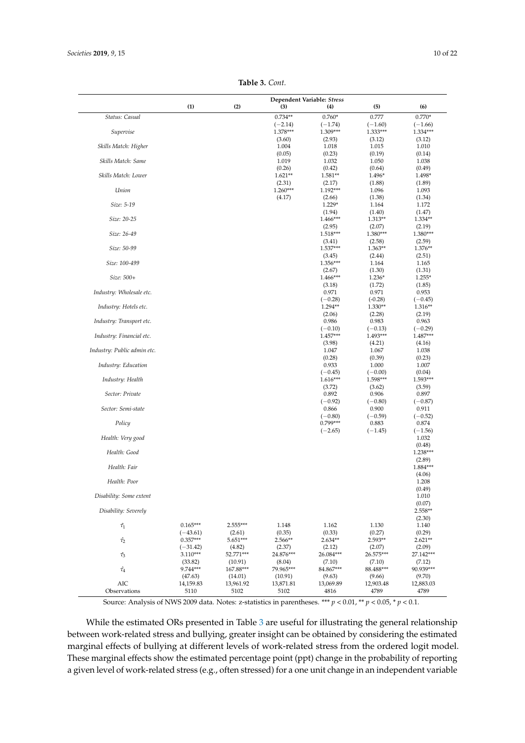<span id="page-9-0"></span>

|                             | (1)                      | (2)                  | (3)                 | Dependent Variable: Stress<br>(4) | (5)                 | (6)                 |
|-----------------------------|--------------------------|----------------------|---------------------|-----------------------------------|---------------------|---------------------|
| Status: Casual              |                          |                      | $0.734**$           | $0.760*$                          | 0.777               | $0.770*$            |
|                             |                          |                      | $(-2.14)$           | $(-1.74)$                         | $(-1.60)$           | $(-1.66)$           |
| Supervise                   |                          |                      | 1.378***            | 1.309***                          | 1.333***            | 1.334***            |
|                             |                          |                      | (3.60)              | (2.93)                            | (3.12)              | (3.12)              |
| Skills Match: Higher        |                          |                      | 1.004<br>(0.05)     | 1.018<br>(0.23)                   | 1.015<br>(0.19)     | 1.010<br>(0.14)     |
| Skills Match: Same          |                          |                      | 1.019               | 1.032                             | 1.050               | 1.038               |
|                             |                          |                      | (0.26)              | (0.42)                            | (0.64)              | (0.49)              |
| Skills Match: Lower         |                          |                      | $1.621**$           | $1.581**$                         | 1.496*              | 1.498*              |
|                             |                          |                      | (2.31)              | (2.17)                            | (1.88)              | (1.89)              |
| Union                       |                          |                      | 1.260***<br>(4.17)  | 1.192***<br>(2.66)                | 1.096<br>(1.38)     | 1.093<br>(1.34)     |
| Size: 5-19                  |                          |                      |                     | 1.229*                            | 1.164               | 1.172               |
|                             |                          |                      |                     | (1.94)                            | (1.40)              | (1.47)              |
| Size: 20-25                 |                          |                      |                     | $1.466***$                        | 1.313**             | $1.334**$           |
| Size: 26-49                 |                          |                      |                     | (2.95)<br>1.518***                | (2.07)<br>1.380***  | (2.19)<br>1.380***  |
|                             |                          |                      |                     | (3.41)                            | (2.58)              | (2.59)              |
| Size: 50-99                 |                          |                      |                     | 1.537***                          | $1.363**$           | $1.376**$           |
|                             |                          |                      |                     | (3.45)                            | (2.44)              | (2.51)              |
| Size: 100-499               |                          |                      |                     | 1.356***                          | 1.164               | 1.165               |
| Size: 500+                  |                          |                      |                     | (2.67)<br>1.466***                | (1.30)<br>1.236*    | (1.31)<br>$1.255*$  |
|                             |                          |                      |                     | (3.18)                            | (1.72)              | (1.85)              |
| Industry: Wholesale etc.    |                          |                      |                     | 0.971                             | 0.971               | 0.953               |
|                             |                          |                      |                     | $(-0.28)$                         | $(-0.28)$           | $(-0.45)$           |
| Industry: Hotels etc.       |                          |                      |                     | 1.294**<br>(2.06)                 | $1.330**$<br>(2.28) | $1.316**$<br>(2.19) |
| Industry: Transport etc.    |                          |                      |                     | 0.986                             | 0.983               | 0.963               |
|                             |                          |                      |                     | $(-0.10)$                         | $(-0.13)$           | $(-0.29)$           |
| Industry: Financial etc.    |                          |                      |                     | 1.457***                          | $1.493***$          | 1.487***            |
| Industry: Public admin etc. |                          |                      |                     | (3.98)<br>1.047                   | (4.21)<br>1.067     | (4.16)<br>1.038     |
|                             |                          |                      |                     | (0.28)                            | (0.39)              | (0.23)              |
| Industry: Education         |                          |                      |                     | 0.933                             | 1.000               | 1.007               |
|                             |                          |                      |                     | $(-0.45)$                         | $(-0.00)$           | (0.04)              |
| Industry: Health            |                          |                      |                     | $1.616***$<br>(3.72)              | 1.598***<br>(3.62)  | 1.593***<br>(3.59)  |
| Sector: Private             |                          |                      |                     | 0.892                             | 0.906               | 0.897               |
|                             |                          |                      |                     | $(-0.92)$                         | $(-0.80)$           | $(-0.87)$           |
| Sector: Semi-state          |                          |                      |                     | 0.866                             | 0.900               | 0.911               |
|                             |                          |                      |                     | $(-0.80)$<br>$0.799***$           | $(-0.59)$           | $(-0.52)$           |
| Policy                      |                          |                      |                     | $(-2.65)$                         | 0.883<br>$(-1.45)$  | 0.874<br>$(-1.56)$  |
| Health: Very good           |                          |                      |                     |                                   |                     | 1.032               |
|                             |                          |                      |                     |                                   |                     | (0.48)              |
| Health: Good                |                          |                      |                     |                                   |                     | 1.238***            |
| Health: Fair                |                          |                      |                     |                                   |                     | (2.89)<br>1.884***  |
|                             |                          |                      |                     |                                   |                     | (4.06)              |
| Health: Poor                |                          |                      |                     |                                   |                     | 1.208               |
| Disability: Some extent     |                          |                      |                     |                                   |                     | (0.49)<br>1.010     |
|                             |                          |                      |                     |                                   |                     | (0.07)              |
| Disability: Severely        |                          |                      |                     |                                   |                     | 2.558**             |
|                             |                          |                      |                     |                                   |                     | (2.30)              |
| $\hat{\tau_1}$              | $0.165***$               | 2.555***             | 1.148               | 1.162                             | 1.130               | 1.140               |
| $\hat{\tau_2}$              | $(-43.61)$<br>$0.357***$ | (2.61)<br>$5.651***$ | (0.35)<br>2.566**   | (0.33)<br>$2.634**$               | (0.27)<br>2.593**   | (0.29)<br>$2.621**$ |
|                             | $(-31.42)$               | (4.82)               | (2.37)              | (2.12)                            | (2.07)              | (2.09)              |
| $\hat{\tau_3}$              | 3.110***                 | 52.771***            | 24.876***           | 26.084***                         | 26.575***           | 27.142***           |
|                             | (33.82)                  | (10.91)              | (8.04)<br>79.965*** | (7.10)                            | (7.10)              | (7.12)<br>90.939*** |
| $\hat{\tau_4}$              | 9.744***<br>(47.63)      | 167.88***<br>(14.01) | (10.91)             | 84.867***<br>(9.63)               | 88.488***<br>(9.66) | (9.70)              |
| AIC                         | 14,159.83                | 13,961.92            | 13,871.81           | 13,069.89                         | 12,903.48           | 12,883.03           |
| Observations                | 5110                     | 5102                 | 5102                | 4816                              | 4789                | 4789                |

**Table 3.** *Cont.*

Source: Analysis of NWS 2009 data. Notes: z-statistics in parentheses. \*\*\* *p* < 0.01, \*\* *p* < 0.05, \* *p* < 0.1.

While the estimated ORs presented in Table [3](#page-9-0) are useful for illustrating the general relationship between work-related stress and bullying, greater insight can be obtained by considering the estimated marginal effects of bullying at different levels of work-related stress from the ordered logit model. These marginal effects show the estimated percentage point (ppt) change in the probability of reporting a given level of work-related stress (e.g., often stressed) for a one unit change in an independent variable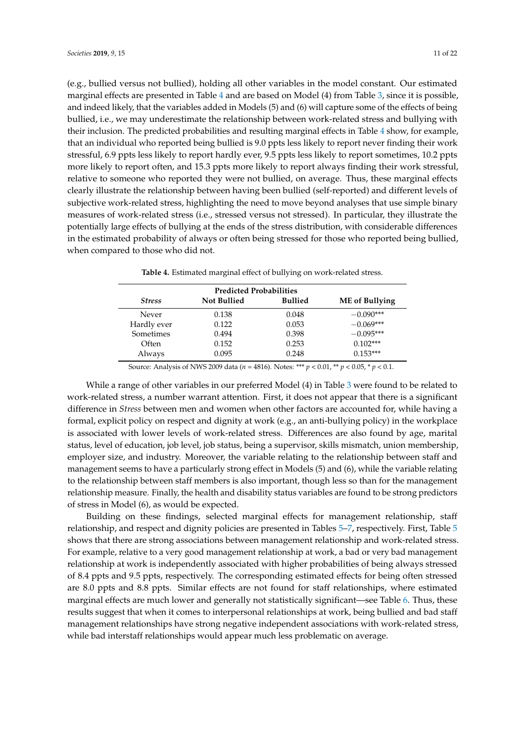<span id="page-10-0"></span>when compared to those who did not.

(e.g., bullied versus not bullied), holding all other variables in the model constant. Our estimated marginal effects are presented in Table [4](#page-10-0) and are based on Model (4) from Table [3,](#page-9-0) since it is possible, and indeed likely, that the variables added in Models (5) and (6) will capture some of the effects of being bullied, i.e., we may underestimate the relationship between work-related stress and bullying with their inclusion. The predicted probabilities and resulting marginal effects in Table [4](#page-10-0) show, for example, that an individual who reported being bullied is 9.0 ppts less likely to report never finding their work stressful, 6.9 ppts less likely to report hardly ever, 9.5 ppts less likely to report sometimes, 10.2 ppts more likely to report often, and 15.3 ppts more likely to report always finding their work stressful, relative to someone who reported they were not bullied, on average. Thus, these marginal effects clearly illustrate the relationship between having been bullied (self-reported) and different levels of subjective work-related stress, highlighting the need to move beyond analyses that use simple binary measures of work-related stress (i.e., stressed versus not stressed). In particular, they illustrate the potentially large effects of bullying at the ends of the stress distribution, with considerable differences in the estimated probability of always or often being stressed for those who reported being bullied,

| <b>Predicted Probabilities</b> |                    |                |                       |  |  |
|--------------------------------|--------------------|----------------|-----------------------|--|--|
| <b>Stress</b>                  | <b>Not Bullied</b> | <b>Bullied</b> | <b>ME</b> of Bullying |  |  |
| Never                          | 0.138              | 0.048          | $-0.090***$           |  |  |
| Hardly ever                    | 0.122              | 0.053          | $-0.069***$           |  |  |
| Sometimes                      | 0.494              | 0.398          | $-0.095***$           |  |  |
| Often                          | 0.152              | 0.253          | $0.102***$            |  |  |
| Always                         | 0.095              | 0.248          | $0.153***$            |  |  |

| Table 4. Estimated marginal effect of bullying on work-related stress. |  |  |
|------------------------------------------------------------------------|--|--|
|------------------------------------------------------------------------|--|--|

Source: Analysis of NWS 2009 data (*n* = 4816). Notes: \*\*\* *p* < 0.01, \*\* *p* < 0.05, \* *p* < 0.1.

While a range of other variables in our preferred Model (4) in Table [3](#page-9-0) were found to be related to work-related stress, a number warrant attention. First, it does not appear that there is a significant difference in *Stress* between men and women when other factors are accounted for, while having a formal, explicit policy on respect and dignity at work (e.g., an anti-bullying policy) in the workplace is associated with lower levels of work-related stress. Differences are also found by age, marital status, level of education, job level, job status, being a supervisor, skills mismatch, union membership, employer size, and industry. Moreover, the variable relating to the relationship between staff and management seems to have a particularly strong effect in Models (5) and (6), while the variable relating to the relationship between staff members is also important, though less so than for the management relationship measure. Finally, the health and disability status variables are found to be strong predictors of stress in Model (6), as would be expected.

Building on these findings, selected marginal effects for management relationship, staff relationship, and respect and dignity policies are presented in Tables [5](#page-11-0)[–7,](#page-11-1) respectively. First, Table [5](#page-11-0) shows that there are strong associations between management relationship and work-related stress. For example, relative to a very good management relationship at work, a bad or very bad management relationship at work is independently associated with higher probabilities of being always stressed of 8.4 ppts and 9.5 ppts, respectively. The corresponding estimated effects for being often stressed are 8.0 ppts and 8.8 ppts. Similar effects are not found for staff relationships, where estimated marginal effects are much lower and generally not statistically significant—see Table [6.](#page-11-2) Thus, these results suggest that when it comes to interpersonal relationships at work, being bullied and bad staff management relationships have strong negative independent associations with work-related stress, while bad interstaff relationships would appear much less problematic on average.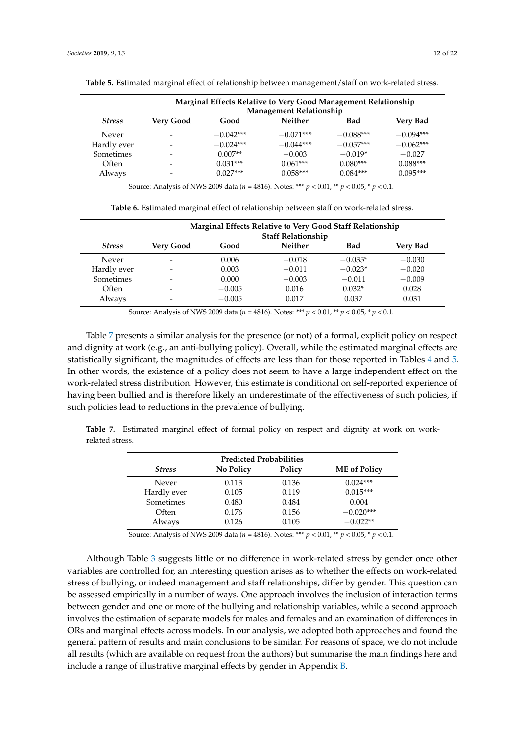|               | <b>Marginal Effects Relative to Very Good Management Relationship</b><br><b>Management Relationship</b> |             |             |             |             |
|---------------|---------------------------------------------------------------------------------------------------------|-------------|-------------|-------------|-------------|
| <b>Stress</b> | Very Good                                                                                               | Good        | Neither     | <b>Bad</b>  | Very Bad    |
| Never         |                                                                                                         | $-0.042***$ | $-0.071***$ | $-0.088***$ | $-0.094***$ |
| Hardly ever   | -                                                                                                       | $-0.024***$ | $-0.044***$ | $-0.057***$ | $-0.062***$ |
| Sometimes     | -                                                                                                       | $0.007**$   | $-0.003$    | $-0.019*$   | $-0.027$    |
| Often         | -                                                                                                       | $0.031***$  | $0.061***$  | $0.080***$  | $0.088***$  |
| Always        |                                                                                                         | $0.027***$  | $0.058***$  | $0.084***$  | $0.095***$  |
|               |                                                                                                         |             |             |             |             |

<span id="page-11-0"></span>**Table 5.** Estimated marginal effect of relationship between management/staff on work-related stress.

Source: Analysis of NWS 2009 data (*n* = 4816). Notes: \*\*\* *p* < 0.01, \*\* *p* < 0.05, \* *p* < 0.1.

| Table 6. Estimated marginal effect of relationship between staff on work-related stress. |  |  |  |
|------------------------------------------------------------------------------------------|--|--|--|
|------------------------------------------------------------------------------------------|--|--|--|

<span id="page-11-2"></span>

|               |                          |          | <b>Marginal Effects Relative to Very Good Staff Relationship</b><br><b>Staff Relationship</b> |            |          |
|---------------|--------------------------|----------|-----------------------------------------------------------------------------------------------|------------|----------|
| <b>Stress</b> | Very Good                | Good     | Neither                                                                                       | <b>Bad</b> | Very Bad |
| Never         |                          | 0.006    | $-0.018$                                                                                      | $-0.035*$  | $-0.030$ |
| Hardly ever   |                          | 0.003    | $-0.011$                                                                                      | $-0.023*$  | $-0.020$ |
| Sometimes     | $\overline{\phantom{0}}$ | 0.000    | $-0.003$                                                                                      | $-0.011$   | $-0.009$ |
| Often         |                          | $-0.005$ | 0.016                                                                                         | $0.032*$   | 0.028    |
| Always        |                          | $-0.005$ | 0.017                                                                                         | 0.037      | 0.031    |

Source: Analysis of NWS 2009 data (*n* = 4816). Notes: \*\*\* *p* < 0.01, \*\* *p* < 0.05, \* *p* < 0.1.

Table [7](#page-11-1) presents a similar analysis for the presence (or not) of a formal, explicit policy on respect and dignity at work (e.g., an anti-bullying policy). Overall, while the estimated marginal effects are statistically significant, the magnitudes of effects are less than for those reported in Tables [4](#page-10-0) and [5.](#page-11-0) In other words, the existence of a policy does not seem to have a large independent effect on the work-related stress distribution. However, this estimate is conditional on self-reported experience of having been bullied and is therefore likely an underestimate of the effectiveness of such policies, if such policies lead to reductions in the prevalence of bullying.

<span id="page-11-1"></span>Table 7. Estimated marginal effect of formal policy on respect and dignity at work on workrelated stress.

| <b>Predicted Probabilities</b> |                  |        |                     |  |  |
|--------------------------------|------------------|--------|---------------------|--|--|
| <b>Stress</b>                  | <b>No Policy</b> | Policy | <b>ME</b> of Policy |  |  |
| Never                          | 0.113            | 0.136  | $0.024***$          |  |  |
| Hardly ever                    | 0.105            | 0.119  | $0.015***$          |  |  |
| Sometimes                      | 0.480            | 0.484  | 0.004               |  |  |
| Often                          | 0.176            | 0.156  | $-0.020***$         |  |  |
| Always                         | 0.126            | 0.105  | $-0.022**$          |  |  |

Source: Analysis of NWS 2009 data (*n* = 4816). Notes: \*\*\* *p* < 0.01, \*\* *p* < 0.05, \* *p* < 0.1.

Although Table [3](#page-9-0) suggests little or no difference in work-related stress by gender once other variables are controlled for, an interesting question arises as to whether the effects on work-related stress of bullying, or indeed management and staff relationships, differ by gender. This question can be assessed empirically in a number of ways. One approach involves the inclusion of interaction terms between gender and one or more of the bullying and relationship variables, while a second approach involves the estimation of separate models for males and females and an examination of differences in ORs and marginal effects across models. In our analysis, we adopted both approaches and found the general pattern of results and main conclusions to be similar. For reasons of space, we do not include all results (which are available on request from the authors) but summarise the main findings here and include a range of illustrative marginal effects by gender in Appendix [B.](#page-16-2)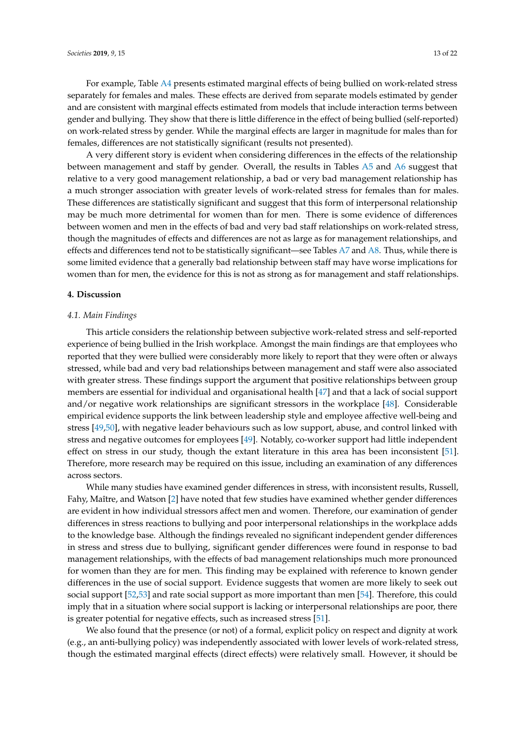For example, Table [A4](#page-17-0) presents estimated marginal effects of being bullied on work-related stress separately for females and males. These effects are derived from separate models estimated by gender and are consistent with marginal effects estimated from models that include interaction terms between gender and bullying. They show that there is little difference in the effect of being bullied (self-reported) on work-related stress by gender. While the marginal effects are larger in magnitude for males than for females, differences are not statistically significant (results not presented).

A very different story is evident when considering differences in the effects of the relationship between management and staff by gender. Overall, the results in Tables [A5](#page-17-1) and [A6](#page-17-2) suggest that relative to a very good management relationship, a bad or very bad management relationship has a much stronger association with greater levels of work-related stress for females than for males. These differences are statistically significant and suggest that this form of interpersonal relationship may be much more detrimental for women than for men. There is some evidence of differences between women and men in the effects of bad and very bad staff relationships on work-related stress, though the magnitudes of effects and differences are not as large as for management relationships, and effects and differences tend not to be statistically significant—see Tables [A7](#page-17-3) and [A8.](#page-17-4) Thus, while there is some limited evidence that a generally bad relationship between staff may have worse implications for women than for men, the evidence for this is not as strong as for management and staff relationships.

## **4. Discussion**

## *4.1. Main Findings*

This article considers the relationship between subjective work-related stress and self-reported experience of being bullied in the Irish workplace. Amongst the main findings are that employees who reported that they were bullied were considerably more likely to report that they were often or always stressed, while bad and very bad relationships between management and staff were also associated with greater stress. These findings support the argument that positive relationships between group members are essential for individual and organisational health [\[47\]](#page-19-21) and that a lack of social support and/or negative work relationships are significant stressors in the workplace [\[48\]](#page-19-22). Considerable empirical evidence supports the link between leadership style and employee affective well-being and stress [\[49](#page-20-0)[,50\]](#page-20-1), with negative leader behaviours such as low support, abuse, and control linked with stress and negative outcomes for employees [\[49\]](#page-20-0). Notably, co-worker support had little independent effect on stress in our study, though the extant literature in this area has been inconsistent [\[51\]](#page-20-2). Therefore, more research may be required on this issue, including an examination of any differences across sectors.

While many studies have examined gender differences in stress, with inconsistent results, Russell, Fahy, Maître, and Watson [\[2\]](#page-18-1) have noted that few studies have examined whether gender differences are evident in how individual stressors affect men and women. Therefore, our examination of gender differences in stress reactions to bullying and poor interpersonal relationships in the workplace adds to the knowledge base. Although the findings revealed no significant independent gender differences in stress and stress due to bullying, significant gender differences were found in response to bad management relationships, with the effects of bad management relationships much more pronounced for women than they are for men. This finding may be explained with reference to known gender differences in the use of social support. Evidence suggests that women are more likely to seek out social support [\[52,](#page-20-3)[53\]](#page-20-4) and rate social support as more important than men [\[54\]](#page-20-5). Therefore, this could imply that in a situation where social support is lacking or interpersonal relationships are poor, there is greater potential for negative effects, such as increased stress [\[51\]](#page-20-2).

We also found that the presence (or not) of a formal, explicit policy on respect and dignity at work (e.g., an anti-bullying policy) was independently associated with lower levels of work-related stress, though the estimated marginal effects (direct effects) were relatively small. However, it should be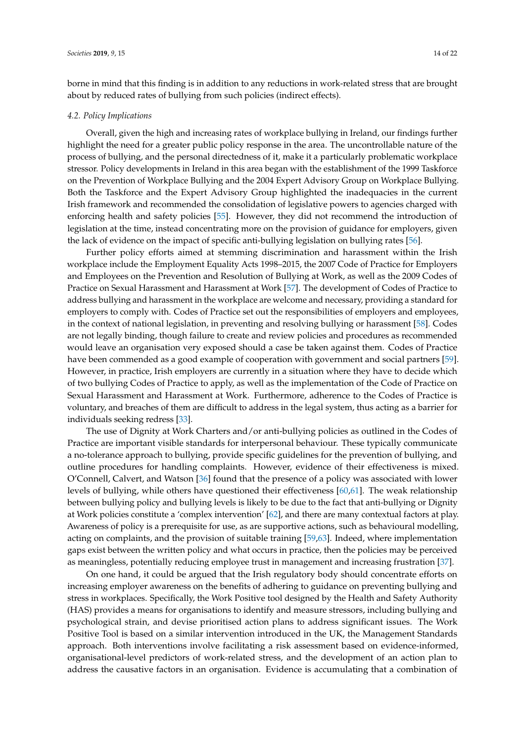borne in mind that this finding is in addition to any reductions in work-related stress that are brought about by reduced rates of bullying from such policies (indirect effects).

## *4.2. Policy Implications*

Overall, given the high and increasing rates of workplace bullying in Ireland, our findings further highlight the need for a greater public policy response in the area. The uncontrollable nature of the process of bullying, and the personal directedness of it, make it a particularly problematic workplace stressor. Policy developments in Ireland in this area began with the establishment of the 1999 Taskforce on the Prevention of Workplace Bullying and the 2004 Expert Advisory Group on Workplace Bullying. Both the Taskforce and the Expert Advisory Group highlighted the inadequacies in the current Irish framework and recommended the consolidation of legislative powers to agencies charged with enforcing health and safety policies [\[55\]](#page-20-6). However, they did not recommend the introduction of legislation at the time, instead concentrating more on the provision of guidance for employers, given the lack of evidence on the impact of specific anti-bullying legislation on bullying rates [\[56\]](#page-20-7).

Further policy efforts aimed at stemming discrimination and harassment within the Irish workplace include the Employment Equality Acts 1998–2015, the 2007 Code of Practice for Employers and Employees on the Prevention and Resolution of Bullying at Work, as well as the 2009 Codes of Practice on Sexual Harassment and Harassment at Work [\[57\]](#page-20-8). The development of Codes of Practice to address bullying and harassment in the workplace are welcome and necessary, providing a standard for employers to comply with. Codes of Practice set out the responsibilities of employers and employees, in the context of national legislation, in preventing and resolving bullying or harassment [\[58\]](#page-20-9). Codes are not legally binding, though failure to create and review policies and procedures as recommended would leave an organisation very exposed should a case be taken against them. Codes of Practice have been commended as a good example of cooperation with government and social partners [\[59\]](#page-20-10). However, in practice, Irish employers are currently in a situation where they have to decide which of two bullying Codes of Practice to apply, as well as the implementation of the Code of Practice on Sexual Harassment and Harassment at Work. Furthermore, adherence to the Codes of Practice is voluntary, and breaches of them are difficult to address in the legal system, thus acting as a barrier for individuals seeking redress [\[33\]](#page-19-7).

The use of Dignity at Work Charters and/or anti-bullying policies as outlined in the Codes of Practice are important visible standards for interpersonal behaviour. These typically communicate a no-tolerance approach to bullying, provide specific guidelines for the prevention of bullying, and outline procedures for handling complaints. However, evidence of their effectiveness is mixed. O'Connell, Calvert, and Watson [\[36\]](#page-19-10) found that the presence of a policy was associated with lower levels of bullying, while others have questioned their effectiveness [\[60,](#page-20-11)[61\]](#page-20-12). The weak relationship between bullying policy and bullying levels is likely to be due to the fact that anti-bullying or Dignity at Work policies constitute a 'complex intervention' [\[62\]](#page-20-13), and there are many contextual factors at play. Awareness of policy is a prerequisite for use, as are supportive actions, such as behavioural modelling, acting on complaints, and the provision of suitable training [\[59,](#page-20-10)[63\]](#page-20-14). Indeed, where implementation gaps exist between the written policy and what occurs in practice, then the policies may be perceived as meaningless, potentially reducing employee trust in management and increasing frustration [\[37\]](#page-19-11).

On one hand, it could be argued that the Irish regulatory body should concentrate efforts on increasing employer awareness on the benefits of adhering to guidance on preventing bullying and stress in workplaces. Specifically, the Work Positive tool designed by the Health and Safety Authority (HAS) provides a means for organisations to identify and measure stressors, including bullying and psychological strain, and devise prioritised action plans to address significant issues. The Work Positive Tool is based on a similar intervention introduced in the UK, the Management Standards approach. Both interventions involve facilitating a risk assessment based on evidence-informed, organisational-level predictors of work-related stress, and the development of an action plan to address the causative factors in an organisation. Evidence is accumulating that a combination of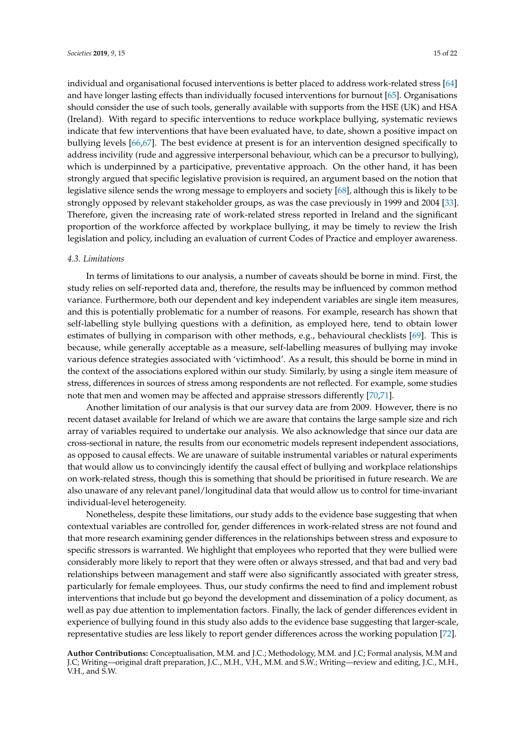individual and organisational focused interventions is better placed to address work-related stress [\[64\]](#page-20-15) and have longer lasting effects than individually focused interventions for burnout [\[65\]](#page-20-16). Organisations should consider the use of such tools, generally available with supports from the HSE (UK) and HSA (Ireland). With regard to specific interventions to reduce workplace bullying, systematic reviews indicate that few interventions that have been evaluated have, to date, shown a positive impact on bullying levels [\[66](#page-20-17)[,67\]](#page-20-18). The best evidence at present is for an intervention designed specifically to address incivility (rude and aggressive interpersonal behaviour, which can be a precursor to bullying), which is underpinned by a participative, preventative approach. On the other hand, it has been strongly argued that specific legislative provision is required, an argument based on the notion that legislative silence sends the wrong message to employers and society [\[68\]](#page-20-19), although this is likely to be strongly opposed by relevant stakeholder groups, as was the case previously in 1999 and 2004 [\[33\]](#page-19-7). Therefore, given the increasing rate of work-related stress reported in Ireland and the significant proportion of the workforce affected by workplace bullying, it may be timely to review the Irish legislation and policy, including an evaluation of current Codes of Practice and employer awareness.

#### *4.3. Limitations*

In terms of limitations to our analysis, a number of caveats should be borne in mind. First, the study relies on self-reported data and, therefore, the results may be influenced by common method variance. Furthermore, both our dependent and key independent variables are single item measures, and this is potentially problematic for a number of reasons. For example, research has shown that self-labelling style bullying questions with a definition, as employed here, tend to obtain lower estimates of bullying in comparison with other methods, e.g., behavioural checklists [\[69\]](#page-20-20). This is because, while generally acceptable as a measure, self-labelling measures of bullying may invoke various defence strategies associated with 'victimhood'. As a result, this should be borne in mind in the context of the associations explored within our study. Similarly, by using a single item measure of stress, differences in sources of stress among respondents are not reflected. For example, some studies note that men and women may be affected and appraise stressors differently [\[70](#page-20-21)[,71\]](#page-21-0).

Another limitation of our analysis is that our survey data are from 2009. However, there is no recent dataset available for Ireland of which we are aware that contains the large sample size and rich array of variables required to undertake our analysis. We also acknowledge that since our data are cross-sectional in nature, the results from our econometric models represent independent associations, as opposed to causal effects. We are unaware of suitable instrumental variables or natural experiments that would allow us to convincingly identify the causal effect of bullying and workplace relationships on work-related stress, though this is something that should be prioritised in future research. We are also unaware of any relevant panel/longitudinal data that would allow us to control for time-invariant individual-level heterogeneity.

Nonetheless, despite these limitations, our study adds to the evidence base suggesting that when contextual variables are controlled for, gender differences in work-related stress are not found and that more research examining gender differences in the relationships between stress and exposure to specific stressors is warranted. We highlight that employees who reported that they were bullied were considerably more likely to report that they were often or always stressed, and that bad and very bad relationships between management and staff were also significantly associated with greater stress, particularly for female employees. Thus, our study confirms the need to find and implement robust interventions that include but go beyond the development and dissemination of a policy document, as well as pay due attention to implementation factors. Finally, the lack of gender differences evident in experience of bullying found in this study also adds to the evidence base suggesting that larger-scale, representative studies are less likely to report gender differences across the working population [\[72\]](#page-21-1).

**Author Contributions:** Conceptualisation, M.M. and J.C.; Methodology, M.M. and J.C; Formal analysis, M.M and J.C; Writing—original draft preparation, J.C., M.H., V.H., M.M. and S.W.; Writing—review and editing, J.C., M.H., V.H., and S.W.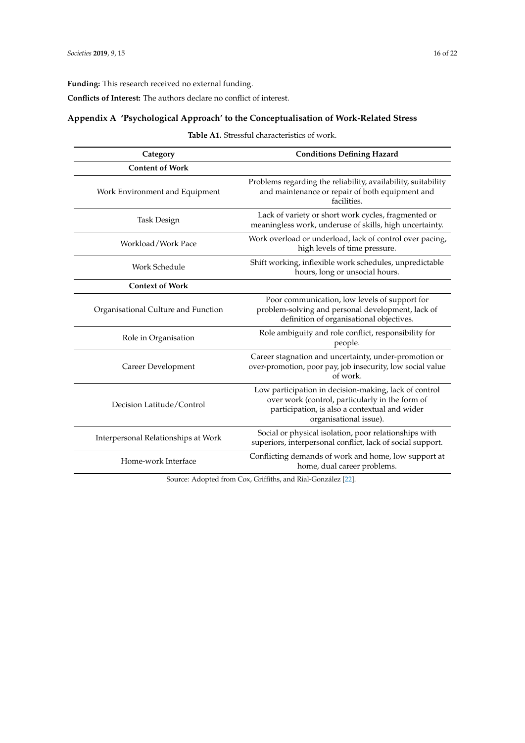**Funding:** This research received no external funding.

**Conflicts of Interest:** The authors declare no conflict of interest.

# <span id="page-15-0"></span>**Appendix A 'Psychological Approach' to the Conceptualisation of Work-Related Stress**

**Table A1.** Stressful characteristics of work.

| Category                            | <b>Conditions Defining Hazard</b>                                                                                                                                                   |
|-------------------------------------|-------------------------------------------------------------------------------------------------------------------------------------------------------------------------------------|
| <b>Content of Work</b>              |                                                                                                                                                                                     |
| Work Environment and Equipment      | Problems regarding the reliability, availability, suitability<br>and maintenance or repair of both equipment and<br>facilities.                                                     |
| Task Design                         | Lack of variety or short work cycles, fragmented or<br>meaningless work, underuse of skills, high uncertainty.                                                                      |
| Workload/Work Pace                  | Work overload or underload, lack of control over pacing,<br>high levels of time pressure.                                                                                           |
| <b>Work Schedule</b>                | Shift working, inflexible work schedules, unpredictable<br>hours, long or unsocial hours.                                                                                           |
| <b>Context of Work</b>              |                                                                                                                                                                                     |
| Organisational Culture and Function | Poor communication, low levels of support for<br>problem-solving and personal development, lack of<br>definition of organisational objectives.                                      |
| Role in Organisation                | Role ambiguity and role conflict, responsibility for<br>people.                                                                                                                     |
| Career Development                  | Career stagnation and uncertainty, under-promotion or<br>over-promotion, poor pay, job insecurity, low social value<br>of work.                                                     |
| Decision Latitude/Control           | Low participation in decision-making, lack of control<br>over work (control, particularly in the form of<br>participation, is also a contextual and wider<br>organisational issue). |
| Interpersonal Relationships at Work | Social or physical isolation, poor relationships with<br>superiors, interpersonal conflict, lack of social support.                                                                 |
| Home-work Interface                 | Conflicting demands of work and home, low support at<br>home, dual career problems.                                                                                                 |

Source: Adopted from Cox, Griffiths, and Rial-González [\[22\]](#page-18-22).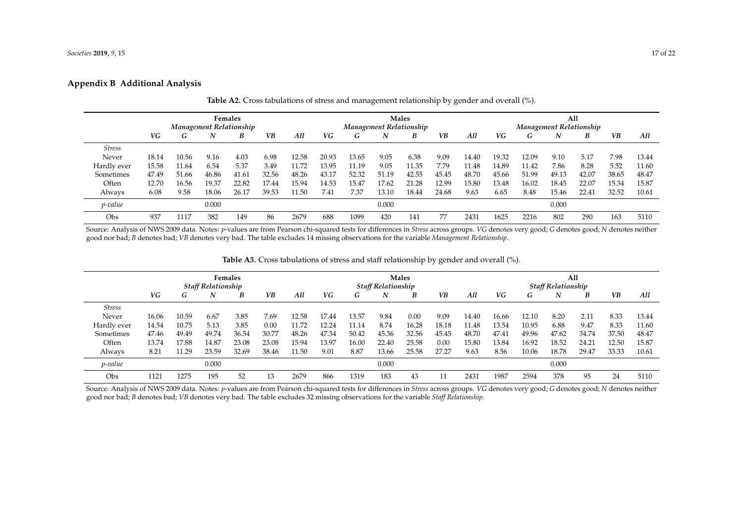## **Appendix B Additional Analysis**

|                |       |       |                         | <b>Females</b> |       |       |       |              |       | <b>Males</b>            |       |       |       |       |       | All                            |       |       |
|----------------|-------|-------|-------------------------|----------------|-------|-------|-------|--------------|-------|-------------------------|-------|-------|-------|-------|-------|--------------------------------|-------|-------|
|                |       |       | Management Relationship |                |       |       |       |              |       | Management Relationship |       |       |       |       |       | <b>Management Relationship</b> |       |       |
|                | VG    | G     |                         | B              | VB    | All   | VG    | $\mathbf{r}$ | N     | В                       | VB    | All   | VG    | G     | N     | B                              | VВ    | All   |
| <b>Stress</b>  |       |       |                         |                |       |       |       |              |       |                         |       |       |       |       |       |                                |       |       |
| Never          | 18.14 | 10.56 | 9.16                    | 4.03           | 6.98  | 12.58 | 20.93 | 13.65        | 9.05  | 6.38                    | 9.09  | 14.40 | 19.32 | 12.09 | 9.10  | 5.17                           | 7.98  | 13.44 |
| Hardly ever    | 15.58 | 11.64 | 6.54                    | 5.37           | 3.49  | 11.72 | 13.95 | 1.19         | 9.05  | 11.35                   | 7.79  | 11.48 | 14.89 | 11.42 | 7.86  | 8.28                           | 5.52  | 11.60 |
| Sometimes      | 47.49 | 51.66 | 46.86                   | 41.61          | 32.56 | 48.26 | 43.17 | 52.32        | 51.19 | 42.55                   | 45.45 | 48.70 | 45.66 | 51.99 | 49.13 | 42.07                          | 38.65 | 48.47 |
| Often          | 12.70 | 16.56 | 19.37                   | 22.82          | 17.44 | 15.94 | 14.53 | 15.47        | LZ.62 | 21.28                   | 12.99 | 15.80 | 13.48 | 16.02 | 18.45 | 22.07                          | 15.34 | 15.87 |
| Always         | 6.08  | 9.58  | 18.06                   | 26.17          | 39.53 | 11.50 | 7.41  | 7.37         | 13.10 | 18.44                   | 24.68 | 9.63  | 6.65  | 8.48  | 15.46 | 22.41                          | 32.52 | 10.61 |
| <i>p-value</i> |       |       | 0.000                   |                |       |       |       |              | 0.000 |                         |       |       |       |       | 0.000 |                                |       |       |
| Obs            | 937   | 1117  | 382                     | 149            | -86   | 2679  | 688   | 1099         | 420   | 141                     | 77    | 2431  | 1625  | 2216  | 802   | 290                            | 163   | 5110  |

**Table A2.** Cross tabulations of stress and management relationship by gender and overall (%).

Source: Analysis of NWS 2009 data. Notes: *p*-values are from Pearson chi-squared tests for differences in *Stress* across groups. *VG* denotes very good; *G* denotes good; *N* denotes neither good nor bad; *B* denotes bad; *VB* denotes very bad. The table excludes 14 missing observations for the variable *Management Relationship*.

<span id="page-16-2"></span><span id="page-16-0"></span>

|                | <b>Females</b> |       |                           |       |       | <b>Males</b> |       |       |                           |       | All   |       |       |       |                           |       |       |       |
|----------------|----------------|-------|---------------------------|-------|-------|--------------|-------|-------|---------------------------|-------|-------|-------|-------|-------|---------------------------|-------|-------|-------|
|                |                |       | <b>Staff Relationship</b> |       |       |              |       |       | <b>Staff Relationship</b> |       |       |       |       |       | <b>Staff Relationship</b> |       |       |       |
|                | VG             | G.    |                           | B     | VB    | All          | VG    | G     | N                         | B     | VB    | All   | VG    | G.    | N                         | В     | VB    | All   |
| <b>Stress</b>  |                |       |                           |       |       |              |       |       |                           |       |       |       |       |       |                           |       |       |       |
| Never          | 16.06          | 10.59 | 6.67                      | 3.85  | 7.69  | 12.58        | 17.44 | 13.57 | 9.84                      | 0.00  | 9.09  | 14.40 | 16.66 | 12.10 | 8.20                      | 2.11  | 8.33  | 13.44 |
| Hardly ever    | 14.54          | 10.75 | 5.13                      | 3.85  | 0.00  | 11.72        | 12.24 | 11.14 | 8.74                      | 16.28 | 18.18 | 11.48 | 13.54 | 10.95 | 6.88                      | 9.47  | 8.33  | 11.60 |
| Sometimes      | 47.46          | 49.49 | 49.74                     | 36.54 | 30.77 | 48.26        | 47.34 | 50.42 | 45.36                     | 32.56 | 45.45 | 48.70 | 47.41 | 49.96 | 47.62                     | 34.74 | 37.50 | 48.47 |
| Often          | 13.74          | 17.88 | 14.87                     | 23.08 | 23.08 | 15.94        | 13.97 | 16.00 | 22.40                     | 25.58 | 0.00  | 15.80 | 13.84 | 16.92 | 18.52                     | 24.21 | 12.50 | 15.87 |
| Always         | 8.21           | 11.29 | 23.59                     | 32.69 | 38.46 | 11.50        | 9.01  | 8.87  | 13.66                     | 25.58 | 27.27 | 9.63  | 8.56  | 10.06 | 18.78                     | 29.47 | 33.33 | 10.61 |
| <i>p-value</i> |                |       | 0.000                     |       |       |              |       |       | 0.000                     |       |       |       |       |       | 0.000                     |       |       |       |
| Obs            | 1121           | 1275  | 195                       | 52    | 13    | 2679         | 866   | 1319  | 183                       | 43    |       | 2431  | 1987  | 2594  | 378                       | 95    | 24    | 5110  |

Table A3. Cross tabulations of stress and staff relationship by gender and overall (%).

<span id="page-16-1"></span>Source: Analysis of NWS 2009 data. Notes: *p*-values are from Pearson chi-squared tests for differences in *Stress* across groups. *VG* denotes very good; *G* denotes good; *N* denotes neither good nor bad; *B* denotes bad; *VB* denotes very bad. The table excludes 32 missing observations for the variable *Staff Relationship*.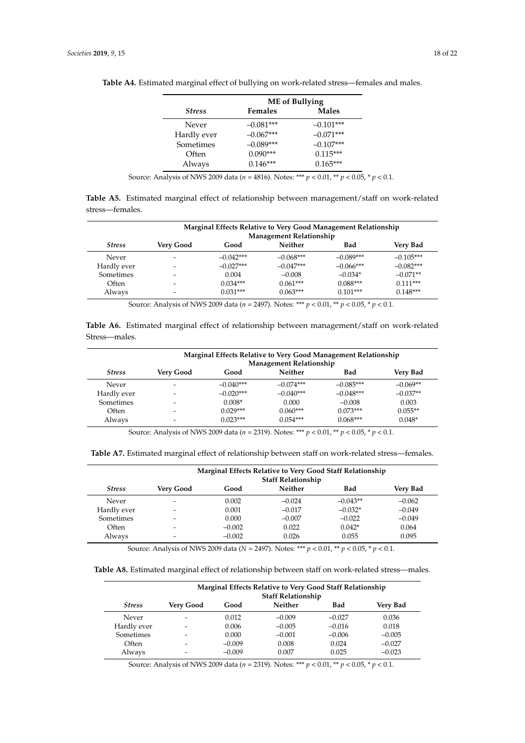|               | <b>ME</b> of Bullying |              |  |  |  |  |  |
|---------------|-----------------------|--------------|--|--|--|--|--|
| <b>Stress</b> | <b>Females</b>        | <b>Males</b> |  |  |  |  |  |
| Never         | $-0.081***$           | $-0.101***$  |  |  |  |  |  |
| Hardly ever   | $-0.067***$           | $-0.071***$  |  |  |  |  |  |
| Sometimes     | $-0.089***$           | $-0.107***$  |  |  |  |  |  |
| Often         | $0.090***$            | $0.115***$   |  |  |  |  |  |
| Always        | $0.146***$            | $0.165***$   |  |  |  |  |  |

<span id="page-17-0"></span>**Table A4.** Estimated marginal effect of bullying on work-related stress—females and males.

Source: Analysis of NWS 2009 data (*n* = 4816). Notes: \*\*\* *p* < 0.01, \*\* *p* < 0.05, \* *p* < 0.1.

<span id="page-17-1"></span>**Table A5.** Estimated marginal effect of relationship between management/staff on work-related stress—females.

|               |                          |             | <b>Management Relationship</b> | Marginal Effects Relative to Very Good Management Relationship |             |
|---------------|--------------------------|-------------|--------------------------------|----------------------------------------------------------------|-------------|
| <b>Stress</b> | Very Good                | Good        | Neither                        | <b>Bad</b>                                                     | Very Bad    |
| Never         |                          | $-0.042***$ | $-0.068***$                    | $-0.089***$                                                    | $-0.105***$ |
| Hardly ever   |                          | $-0.027***$ | $-0.047***$                    | $-0.066***$                                                    | $-0.082***$ |
| Sometimes     |                          | 0.004       | $-0.008$                       | $-0.034*$                                                      | $-0.071**$  |
| Often         |                          | $0.034***$  | $0.061***$                     | $0.088***$                                                     | $0.111***$  |
| Always        | $\overline{\phantom{0}}$ | $0.031***$  | $0.063***$                     | $0.101***$                                                     | $0.148***$  |

Source: Analysis of NWS 2009 data (*n* = 2497). Notes: \*\*\* *p* < 0.01, \*\* *p* < 0.05, \* *p* < 0.1.

<span id="page-17-2"></span>**Table A6.** Estimated marginal effect of relationship between management/staff on work-related Stress—males.

|               |                          |             | <b>Management Relationship</b> | <b>Marginal Effects Relative to Very Good Management Relationship</b> |            |
|---------------|--------------------------|-------------|--------------------------------|-----------------------------------------------------------------------|------------|
| <b>Stress</b> | <b>Very Good</b>         | Good        | Neither                        | <b>Bad</b>                                                            | Very Bad   |
| Never         |                          | $-0.040***$ | $-0.074***$                    | $-0.085***$                                                           | $-0.069**$ |
| Hardly ever   |                          | $-0.020***$ | $-0.040***$                    | $-0.048***$                                                           | $-0.037**$ |
| Sometimes     |                          | $0.008*$    | 0.000                          | $-0.008$                                                              | 0.003      |
| Often         |                          | $0.029***$  | $0.060***$                     | $0.073***$                                                            | $0.055**$  |
| Always        | $\overline{\phantom{0}}$ | $0.023***$  | $0.054***$                     | $0.068***$                                                            | $0.048*$   |

Source: Analysis of NWS 2009 data (*n* = 2319). Notes: \*\*\* *p* < 0.01, \*\* *p* < 0.05, \* *p* < 0.1.

<span id="page-17-3"></span>

|  |  |  |  |  |  | <b>Table A7.</b> Estimated marginal effect of relationship between staff on work-related stress—females. |  |  |  |  |  |
|--|--|--|--|--|--|----------------------------------------------------------------------------------------------------------|--|--|--|--|--|
|--|--|--|--|--|--|----------------------------------------------------------------------------------------------------------|--|--|--|--|--|

|               |                          |          | Marginal Effects Relative to Very Good Staff Relationship<br><b>Staff Relationship</b> |            |          |
|---------------|--------------------------|----------|----------------------------------------------------------------------------------------|------------|----------|
| <b>Stress</b> | Very Good                | Good     | Neither                                                                                | <b>Bad</b> | Very Bad |
| Never         | $\overline{\phantom{0}}$ | 0.002    | $-0.024$                                                                               | $-0.043**$ | $-0.062$ |
| Hardly ever   | $\overline{\phantom{0}}$ | 0.001    | $-0.017$                                                                               | $-0.032*$  | $-0.049$ |
| Sometimes     | $\overline{\phantom{0}}$ | 0.000    | $-0.007$                                                                               | $-0.022$   | $-0.049$ |
| Often         | $\overline{\phantom{0}}$ | $-0.002$ | 0.022                                                                                  | $0.042*$   | 0.064    |
| Always        | $\overline{\phantom{0}}$ | $-0.002$ | 0.026                                                                                  | 0.055      | 0.095    |

Source: Analysis of NWS 2009 data (*N* = 2497). Notes: \*\*\* *p* < 0.01, \*\* *p* < 0.05, \* *p* < 0.1.

<span id="page-17-4"></span>**Table A8.** Estimated marginal effect of relationship between staff on work-related stress—males.

|               | <b>Marginal Effects Relative to Very Good Staff Relationship</b><br><b>Staff Relationship</b> |          |          |          |          |  |  |  |  |
|---------------|-----------------------------------------------------------------------------------------------|----------|----------|----------|----------|--|--|--|--|
| <b>Stress</b> | <b>Very Good</b>                                                                              | Good     | Neither  | Bad      | Very Bad |  |  |  |  |
| Never         |                                                                                               | 0.012    | $-0.009$ | $-0.027$ | 0.036    |  |  |  |  |
| Hardly ever   |                                                                                               | 0.006    | $-0.005$ | $-0.016$ | 0.018    |  |  |  |  |
| Sometimes     |                                                                                               | 0.000    | $-0.001$ | $-0.006$ | $-0.005$ |  |  |  |  |
| Often         | -                                                                                             | $-0.009$ | 0.008    | 0.024    | $-0.027$ |  |  |  |  |
| Always        |                                                                                               | $-0.009$ | 0.007    | 0.025    | $-0.023$ |  |  |  |  |

Source: Analysis of NWS 2009 data (*n* = 2319). Notes: \*\*\* *p* < 0.01, \*\* *p* < 0.05, \* *p* < 0.1.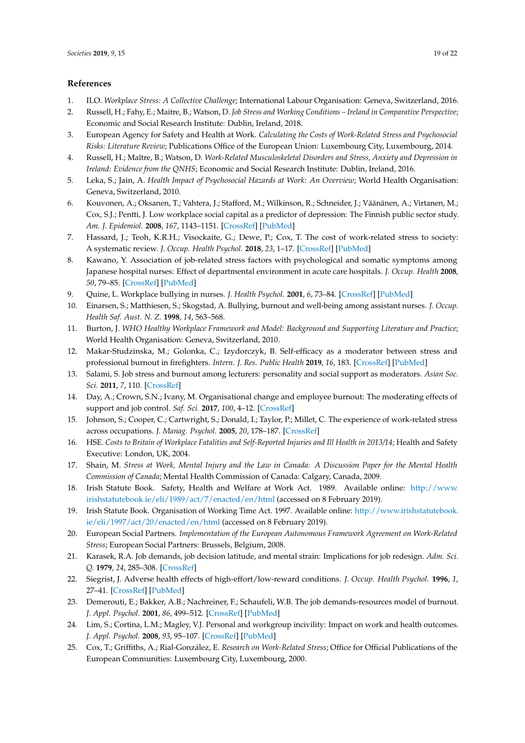## **References**

- <span id="page-18-0"></span>1. ILO. *Workplace Stress: A Collective Challenge*; International Labour Organisation: Geneva, Switzerland, 2016.
- <span id="page-18-1"></span>2. Russell, H.; Fahy, E.; Maitre, B.; Watson, D. *Job Stress and Working Conditions – Ireland in Comparative Perspective*; Economic and Social Research Institute: Dublin, Ireland, 2018.
- <span id="page-18-2"></span>3. European Agency for Safety and Health at Work. *Calculating the Costs of Work-Related Stress and Psychosocial Risks: Literature Review*; Publications Office of the European Union: Luxembourg City, Luxembourg, 2014.
- <span id="page-18-3"></span>4. Russell, H.; Maître, B.; Watson, D. *Work-Related Musculoskeletal Disorders and Stress, Anxiety and Depression in Ireland: Evidence from the QNHS*; Economic and Social Research Institute: Dublin, Ireland, 2016.
- <span id="page-18-4"></span>5. Leka, S.; Jain, A. *Health Impact of Psychosocial Hazards at Work: An Overview*; World Health Organisation: Geneva, Switzerland, 2010.
- <span id="page-18-5"></span>6. Kouvonen, A.; Oksanen, T.; Vahtera, J.; Stafford, M.; Wilkinson, R.; Schneider, J.; Väänänen, A.; Virtanen, M.; Cox, S.J.; Pentti, J. Low workplace social capital as a predictor of depression: The Finnish public sector study. *Am. J. Epidemiol.* **2008**, *167*, 1143–1151. [\[CrossRef\]](http://dx.doi.org/10.1093/aje/kwn067) [\[PubMed\]](http://www.ncbi.nlm.nih.gov/pubmed/18413361)
- <span id="page-18-6"></span>7. Hassard, J.; Teoh, K.R.H.; Visockaite, G.; Dewe, P.; Cox, T. The cost of work-related stress to society: A systematic review. *J. Occup. Health Psychol.* **2018**, *23*, 1–17. [\[CrossRef\]](http://dx.doi.org/10.1037/ocp0000069) [\[PubMed\]](http://www.ncbi.nlm.nih.gov/pubmed/28358567)
- <span id="page-18-7"></span>8. Kawano, Y. Association of job-related stress factors with psychological and somatic symptoms among Japanese hospital nurses: Effect of departmental environment in acute care hospitals. *J. Occup. Health* **2008**, *50*, 79–85. [\[CrossRef\]](http://dx.doi.org/10.1539/joh.50.79) [\[PubMed\]](http://www.ncbi.nlm.nih.gov/pubmed/18285650)
- <span id="page-18-24"></span>9. Quine, L. Workplace bullying in nurses. *J. Health Psychol.* **2001**, *6*, 73–84. [\[CrossRef\]](http://dx.doi.org/10.1177/135910530100600106) [\[PubMed\]](http://www.ncbi.nlm.nih.gov/pubmed/22049239)
- <span id="page-18-8"></span>10. Einarsen, S.; Matthiesen, S.; Skogstad, A. Bullying, burnout and well-being among assistant nurses. *J. Occup. Health Saf. Aust. N. Z.* **1998**, *14*, 563–568.
- <span id="page-18-9"></span>11. Burton, J. *WHO Healthy Workplace Framework and Model: Background and Supporting Literature and Practice*; World Health Organisation: Geneva, Switzerland, 2010.
- <span id="page-18-10"></span>12. Makar-Studzinska, M.; Golonka, C.; Izydorczyk, B. Self-efficacy as a moderator between stress and professional burnout in firefighters. *Intern. J. Res. Public Health* **2019**, *16*, 183. [\[CrossRef\]](http://dx.doi.org/10.3390/ijerph16020183) [\[PubMed\]](http://www.ncbi.nlm.nih.gov/pubmed/30634607)
- <span id="page-18-11"></span>13. Salami, S. Job stress and burnout among lecturers: personality and social support as moderators. *Asian Soc. Sci.* **2011**, *7*, 110. [\[CrossRef\]](http://dx.doi.org/10.5539/ass.v7n5p110)
- <span id="page-18-12"></span>14. Day, A.; Crown, S.N.; Ivany, M. Organisational change and employee burnout: The moderating effects of support and job control. *Saf. Sci.* **2017**, *100*, 4–12. [\[CrossRef\]](http://dx.doi.org/10.1016/j.ssci.2017.03.004)
- <span id="page-18-13"></span>15. Johnson, S.; Cooper, C.; Cartwright, S.; Donald, I.; Taylor, P.; Millet, C. The experience of work-related stress across occupations. *J. Manag. Psychol.* **2005**, *20*, 178–187. [\[CrossRef\]](http://dx.doi.org/10.1108/02683940510579803)
- <span id="page-18-14"></span>16. HSE. *Costs to Britain of Workplace Fatalities and Self-Reported Injuries and Ill Health in 2013/14*; Health and Safety Executive: London, UK, 2004.
- <span id="page-18-15"></span>17. Shain, M. *Stress at Work, Mental Injury and the Law in Canada: A Discussion Paper for the Mental Health Commission of Canada*; Mental Health Commission of Canada: Calgary, Canada, 2009.
- <span id="page-18-16"></span>18. Irish Statute Book. Safety, Health and Welfare at Work Act. 1989. Available online: [http://www.](http://www.irishstatutebook.ie/eli/1989/act/7/enacted/en/html) [irishstatutebook.ie/eli/1989/act/7/enacted/en/html](http://www.irishstatutebook.ie/eli/1989/act/7/enacted/en/html) (accessed on 8 February 2019).
- <span id="page-18-17"></span>19. Irish Statute Book. Organisation of Working Time Act. 1997. Available online: [http://www.irishstatutebook.](http://www.irishstatutebook.ie/eli/1997/act/20/enacted/en/html) [ie/eli/1997/act/20/enacted/en/html](http://www.irishstatutebook.ie/eli/1997/act/20/enacted/en/html) (accessed on 8 February 2019).
- <span id="page-18-18"></span>20. European Social Partners. *Implementation of the European Autonomous Framework Agreement on Work-Related Stress*; European Social Partners: Brussels, Belgium, 2008.
- <span id="page-18-19"></span>21. Karasek, R.A. Job demands, job decision latitude, and mental strain: Implications for job redesign. *Adm. Sci. Q.* **1979**, *24*, 285–308. [\[CrossRef\]](http://dx.doi.org/10.2307/2392498)
- <span id="page-18-22"></span>22. Siegrist, J. Adverse health effects of high-effort/low-reward conditions. *J. Occup. Health Psychol.* **1996**, *1*, 27–41. [\[CrossRef\]](http://dx.doi.org/10.1037/1076-8998.1.1.27) [\[PubMed\]](http://www.ncbi.nlm.nih.gov/pubmed/9547031)
- <span id="page-18-23"></span>23. Demerouti, E.; Bakker, A.B.; Nachreiner, F.; Schaufeli, W.B. The job demands-resources model of burnout. *J. Appl. Psychol.* **2001**, *86*, 499–512. [\[CrossRef\]](http://dx.doi.org/10.1037/0021-9010.86.3.499) [\[PubMed\]](http://www.ncbi.nlm.nih.gov/pubmed/11419809)
- <span id="page-18-20"></span>24. Lim, S.; Cortina, L.M.; Magley, V.J. Personal and workgroup incivility: Impact on work and health outcomes. *J. Appl. Psychol.* **2008**, *93*, 95–107. [\[CrossRef\]](http://dx.doi.org/10.1037/0021-9010.93.1.95) [\[PubMed\]](http://www.ncbi.nlm.nih.gov/pubmed/18211138)
- <span id="page-18-21"></span>25. Cox, T.; Griffiths, A.; Rial-González, E. *Research on Work-Related Stress*; Office for Official Publications of the European Communities: Luxembourg City, Luxembourg, 2000.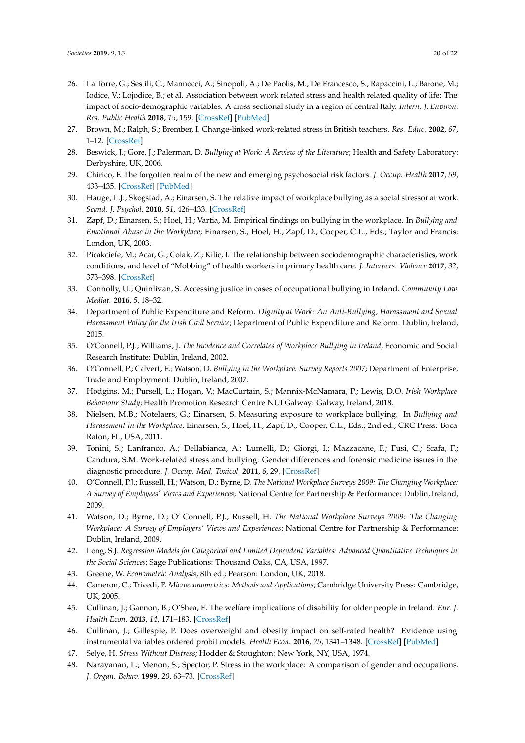- <span id="page-19-0"></span>26. La Torre, G.; Sestili, C.; Mannocci, A.; Sinopoli, A.; De Paolis, M.; De Francesco, S.; Rapaccini, L.; Barone, M.; Iodice, V.; Lojodice, B.; et al. Association between work related stress and health related quality of life: The impact of socio-demographic variables. A cross sectional study in a region of central Italy. *Intern. J. Environ. Res. Public Health* **2018**, *15*, 159. [\[CrossRef\]](http://dx.doi.org/10.3390/ijerph15010159) [\[PubMed\]](http://www.ncbi.nlm.nih.gov/pubmed/29351222)
- <span id="page-19-1"></span>27. Brown, M.; Ralph, S.; Brember, I. Change-linked work-related stress in British teachers. *Res. Educ.* **2002**, *67*, 1–12. [\[CrossRef\]](http://dx.doi.org/10.7227/RIE.67.1)
- <span id="page-19-2"></span>28. Beswick, J.; Gore, J.; Palerman, D. *Bullying at Work: A Review of the Literature*; Health and Safety Laboratory: Derbyshire, UK, 2006.
- <span id="page-19-3"></span>29. Chirico, F. The forgotten realm of the new and emerging psychosocial risk factors. *J. Occup. Health* **2017**, *59*, 433–435. [\[CrossRef\]](http://dx.doi.org/10.1539/joh.17-0111-OP) [\[PubMed\]](http://www.ncbi.nlm.nih.gov/pubmed/28819083)
- <span id="page-19-4"></span>30. Hauge, L.J.; Skogstad, A.; Einarsen, S. The relative impact of workplace bullying as a social stressor at work. *Scand. J. Psychol.* **2010**, *51*, 426–433. [\[CrossRef\]](http://dx.doi.org/10.1111/j.1467-9450.2010.00813.x)
- <span id="page-19-5"></span>31. Zapf, D.; Einarsen, S.; Hoel, H.; Vartia, M. Empirical findings on bullying in the workplace. In *Bullying and Emotional Abuse in the Workplace*; Einarsen, S., Hoel, H., Zapf, D., Cooper, C.L., Eds.; Taylor and Francis: London, UK, 2003.
- <span id="page-19-6"></span>32. Picakciefe, M.; Acar, G.; Colak, Z.; Kilic, I. The relationship between sociodemographic characteristics, work conditions, and level of "Mobbing" of health workers in primary health care. *J. Interpers. Violence* **2017**, *32*, 373–398. [\[CrossRef\]](http://dx.doi.org/10.1177/0886260515586360)
- <span id="page-19-7"></span>33. Connolly, U.; Quinlivan, S. Accessing justice in cases of occupational bullying in Ireland. *Community Law Mediat.* **2016**, *5*, 18–32.
- <span id="page-19-8"></span>34. Department of Public Expenditure and Reform. *Dignity at Work: An Anti-Bullying, Harassment and Sexual Harassment Policy for the Irish Civil Service*; Department of Public Expenditure and Reform: Dublin, Ireland, 2015.
- <span id="page-19-9"></span>35. O'Connell, P.J.; Williams, J. *The Incidence and Correlates of Workplace Bullying in Ireland*; Economic and Social Research Institute: Dublin, Ireland, 2002.
- <span id="page-19-10"></span>36. O'Connell, P.; Calvert, E.; Watson, D. *Bullying in the Workplace: Survey Reports 2007*; Department of Enterprise, Trade and Employment: Dublin, Ireland, 2007.
- <span id="page-19-11"></span>37. Hodgins, M.; Pursell, L.; Hogan, V.; MacCurtain, S.; Mannix-McNamara, P.; Lewis, D.O. *Irish Workplace Behaviour Study*; Health Promotion Research Centre NUI Galway: Galway, Ireland, 2018.
- <span id="page-19-12"></span>38. Nielsen, M.B.; Notelaers, G.; Einarsen, S. Measuring exposure to workplace bullying. In *Bullying and Harassment in the Workplace*, Einarsen, S., Hoel, H., Zapf, D., Cooper, C.L., Eds.; 2nd ed.; CRC Press: Boca Raton, FL, USA, 2011.
- <span id="page-19-13"></span>39. Tonini, S.; Lanfranco, A.; Dellabianca, A.; Lumelli, D.; Giorgi, I.; Mazzacane, F.; Fusi, C.; Scafa, F.; Candura, S.M. Work-related stress and bullying: Gender differences and forensic medicine issues in the diagnostic procedure. *J. Occup. Med. Toxicol.* **2011**, *6*, 29. [\[CrossRef\]](http://dx.doi.org/10.1186/1745-6673-6-29)
- <span id="page-19-14"></span>40. O'Connell, P.J.; Russell, H.; Watson, D.; Byrne, D. *The National Workplace Surveys 2009: The Changing Workplace: A Survey of Employees' Views and Experiences*; National Centre for Partnership & Performance: Dublin, Ireland, 2009.
- <span id="page-19-15"></span>41. Watson, D.; Byrne, D.; O' Connell, P.J.; Russell, H. *The National Workplace Surveys 2009: The Changing Workplace: A Survey of Employers' Views and Experiences*; National Centre for Partnership & Performance: Dublin, Ireland, 2009.
- <span id="page-19-16"></span>42. Long, S.J. *Regression Models for Categorical and Limited Dependent Variables: Advanced Quantitative Techniques in the Social Sciences*; Sage Publications: Thousand Oaks, CA, USA, 1997.
- <span id="page-19-17"></span>43. Greene, W. *Econometric Analysis*, 8th ed.; Pearson: London, UK, 2018.
- <span id="page-19-18"></span>44. Cameron, C.; Trivedi, P. *Microeconometrics: Methods and Applications*; Cambridge University Press: Cambridge, UK, 2005.
- <span id="page-19-19"></span>45. Cullinan, J.; Gannon, B.; O'Shea, E. The welfare implications of disability for older people in Ireland. *Eur. J. Health Econ.* **2013**, *14*, 171–183. [\[CrossRef\]](http://dx.doi.org/10.1007/s10198-011-0357-4)
- <span id="page-19-20"></span>46. Cullinan, J.; Gillespie, P. Does overweight and obesity impact on self-rated health? Evidence using instrumental variables ordered probit models. *Health Econ.* **2016**, *25*, 1341–1348. [\[CrossRef\]](http://dx.doi.org/10.1002/hec.3215) [\[PubMed\]](http://www.ncbi.nlm.nih.gov/pubmed/26140325)
- <span id="page-19-21"></span>47. Selye, H. *Stress Without Distress*; Hodder & Stoughton: New York, NY, USA, 1974.
- <span id="page-19-22"></span>48. Narayanan, L.; Menon, S.; Spector, P. Stress in the workplace: A comparison of gender and occupations. *J. Organ. Behav.* **1999**, *20*, 63–73. [\[CrossRef\]](http://dx.doi.org/10.1002/(SICI)1099-1379(199901)20:1<63::AID-JOB873>3.0.CO;2-J)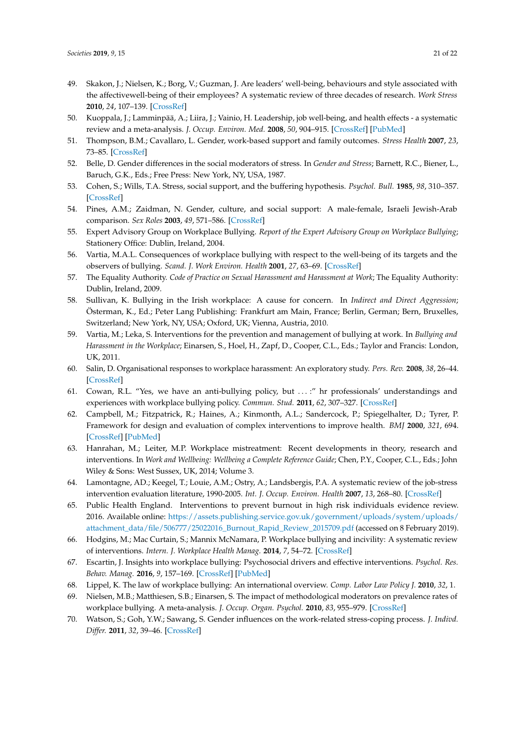- <span id="page-20-0"></span>49. Skakon, J.; Nielsen, K.; Borg, V.; Guzman, J. Are leaders' well-being, behaviours and style associated with the affectivewell-being of their employees? A systematic review of three decades of research. *Work Stress* **2010**, *24*, 107–139. [\[CrossRef\]](http://dx.doi.org/10.1080/02678373.2010.495262)
- <span id="page-20-1"></span>50. Kuoppala, J.; Lamminpää, A.; Liira, J.; Vainio, H. Leadership, job well-being, and health effects - a systematic review and a meta-analysis. *J. Occup. Environ. Med.* **2008**, *50*, 904–915. [\[CrossRef\]](http://dx.doi.org/10.1097/JOM.0b013e31817e918d) [\[PubMed\]](http://www.ncbi.nlm.nih.gov/pubmed/18695449)
- <span id="page-20-2"></span>51. Thompson, B.M.; Cavallaro, L. Gender, work-based support and family outcomes. *Stress Health* **2007**, *23*, 73–85. [\[CrossRef\]](http://dx.doi.org/10.1002/smi.1122)
- <span id="page-20-3"></span>52. Belle, D. Gender differences in the social moderators of stress. In *Gender and Stress*; Barnett, R.C., Biener, L., Baruch, G.K., Eds.; Free Press: New York, NY, USA, 1987.
- <span id="page-20-4"></span>53. Cohen, S.; Wills, T.A. Stress, social support, and the buffering hypothesis. *Psychol. Bull.* **1985**, *98*, 310–357. [\[CrossRef\]](http://dx.doi.org/10.1037/0033-2909.98.2.310)
- <span id="page-20-5"></span>54. Pines, A.M.; Zaidman, N. Gender, culture, and social support: A male-female, Israeli Jewish-Arab comparison. *Sex Roles* **2003**, *49*, 571–586. [\[CrossRef\]](http://dx.doi.org/10.1023/B:SERS.0000003128.99279.94)
- <span id="page-20-6"></span>55. Expert Advisory Group on Workplace Bullying. *Report of the Expert Advisory Group on Workplace Bullying*; Stationery Office: Dublin, Ireland, 2004.
- <span id="page-20-7"></span>56. Vartia, M.A.L. Consequences of workplace bullying with respect to the well-being of its targets and the observers of bullying. *Scand. J. Work Environ. Health* **2001**, *27*, 63–69. [\[CrossRef\]](http://dx.doi.org/10.5271/sjweh.588)
- <span id="page-20-8"></span>57. The Equality Authority. *Code of Practice on Sexual Harassment and Harassment at Work*; The Equality Authority: Dublin, Ireland, 2009.
- <span id="page-20-9"></span>58. Sullivan, K. Bullying in the Irish workplace: A cause for concern. In *Indirect and Direct Aggression*; Österman, K., Ed.; Peter Lang Publishing: Frankfurt am Main, France; Berlin, German; Bern, Bruxelles, Switzerland; New York, NY, USA; Oxford, UK; Vienna, Austria, 2010.
- <span id="page-20-10"></span>59. Vartia, M.; Leka, S. Interventions for the prevention and management of bullying at work. In *Bullying and Harassment in the Workplace*; Einarsen, S., Hoel, H., Zapf, D., Cooper, C.L., Eds.; Taylor and Francis: London, UK, 2011.
- <span id="page-20-11"></span>60. Salin, D. Organisational responses to workplace harassment: An exploratory study. *Pers. Rev.* **2008**, *38*, 26–44. [\[CrossRef\]](http://dx.doi.org/10.1108/00483480910920697)
- <span id="page-20-12"></span>61. Cowan, R.L. "Yes, we have an anti-bullying policy, but . . . :" hr professionals' understandings and experiences with workplace bullying policy. *Commun. Stud.* **2011**, *62*, 307–327. [\[CrossRef\]](http://dx.doi.org/10.1080/10510974.2011.553763)
- <span id="page-20-13"></span>62. Campbell, M.; Fitzpatrick, R.; Haines, A.; Kinmonth, A.L.; Sandercock, P.; Spiegelhalter, D.; Tyrer, P. Framework for design and evaluation of complex interventions to improve health. *BMJ* **2000**, *321*, 694. [\[CrossRef\]](http://dx.doi.org/10.1136/bmj.321.7262.694) [\[PubMed\]](http://www.ncbi.nlm.nih.gov/pubmed/10987780)
- <span id="page-20-14"></span>63. Hanrahan, M.; Leiter, M.P. Workplace mistreatment: Recent developments in theory, research and interventions. In *Work and Wellbeing: Wellbeing a Complete Reference Guide*; Chen, P.Y., Cooper, C.L., Eds.; John Wiley & Sons: West Sussex, UK, 2014; Volume 3.
- <span id="page-20-15"></span>64. Lamontagne, AD.; Keegel, T.; Louie, A.M.; Ostry, A.; Landsbergis, P.A. A systematic review of the job-stress intervention evaluation literature, 1990-2005. *Int. J. Occup. Environ. Health* **2007**, *13*, 268–80. [\[CrossRef\]](http://dx.doi.org/10.1179/oeh.2007.13.3.268)
- <span id="page-20-16"></span>65. Public Health England. Interventions to prevent burnout in high risk individuals evidence review. 2016. Available online: [https://assets.publishing.service.gov.uk/government/uploads/system/uploads/](https://assets.publishing.service.gov.uk/government/uploads/system/uploads/attachment_data/file/506777/25022016_Burnout_Rapid_Review_2015709.pdf) [attachment\\_data/file/506777/25022016\\_Burnout\\_Rapid\\_Review\\_2015709.pdf](https://assets.publishing.service.gov.uk/government/uploads/system/uploads/attachment_data/file/506777/25022016_Burnout_Rapid_Review_2015709.pdf) (accessed on 8 February 2019).
- <span id="page-20-17"></span>66. Hodgins, M.; Mac Curtain, S.; Mannix McNamara, P. Workplace bullying and incivility: A systematic review of interventions. *Intern. J. Workplace Health Manag.* **2014**, *7*, 54–72. [\[CrossRef\]](http://dx.doi.org/10.1108/IJWHM-08-2013-0030)
- <span id="page-20-18"></span>67. Escartin, J. Insights into workplace bullying: Psychosocial drivers and effective interventions. *Psychol. Res. Behav. Manag.* **2016**, *9*, 157–169. [\[CrossRef\]](http://dx.doi.org/10.2147/PRBM.S91211) [\[PubMed\]](http://www.ncbi.nlm.nih.gov/pubmed/27382343)
- <span id="page-20-19"></span>68. Lippel, K. The law of workplace bullying: An international overview. *Comp. Labor Law Policy J.* **2010**, *32*, 1.
- <span id="page-20-20"></span>69. Nielsen, M.B.; Matthiesen, S.B.; Einarsen, S. The impact of methodological moderators on prevalence rates of workplace bullying. A meta-analysis. *J. Occup. Organ. Psychol.* **2010**, *83*, 955–979. [\[CrossRef\]](http://dx.doi.org/10.1348/096317909X481256)
- <span id="page-20-21"></span>70. Watson, S.; Goh, Y.W.; Sawang, S. Gender influences on the work-related stress-coping process. *J. Indivd. Differ.* **2011**, *32*, 39–46. [\[CrossRef\]](http://dx.doi.org/10.1027/1614-0001/a000033)